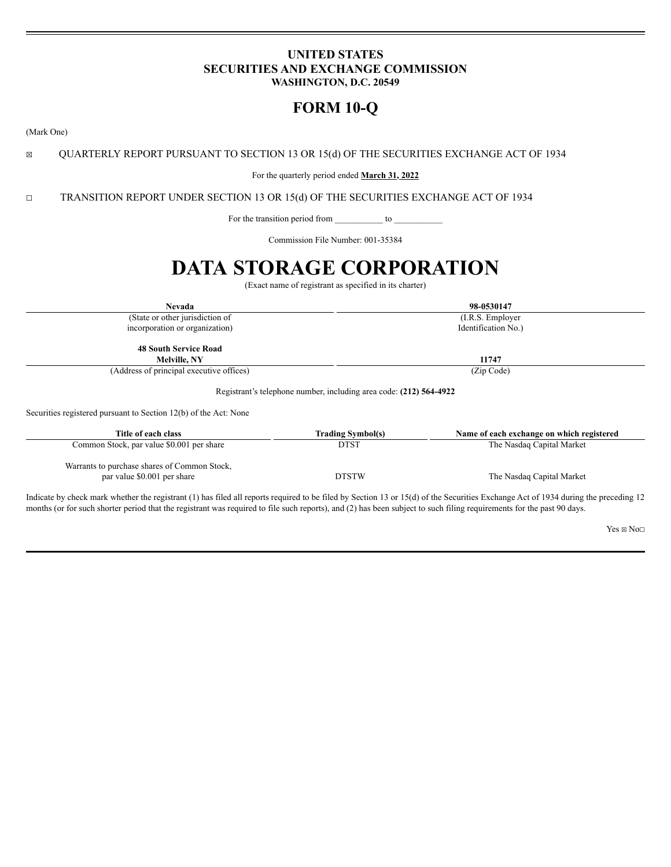# **UNITED STATES SECURITIES AND EXCHANGE COMMISSION WASHINGTON, D.C. 20549**

# **FORM 10-Q**

(Mark One)

☒ QUARTERLY REPORT PURSUANT TO SECTION 13 OR 15(d) OF THE SECURITIES EXCHANGE ACT OF 1934

For the quarterly period ended **March 31, 2022**

☐ TRANSITION REPORT UNDER SECTION 13 OR 15(d) OF THE SECURITIES EXCHANGE ACT OF 1934

For the transition period from  $\frac{\ }{\ }$  to  $\frac{\ }{\ }$ 

Commission File Number: 001-35384

# **DATA STORAGE CORPORATION**

(Exact name of registrant as specified in its charter)

| Nevada                                                                                                                                                                                                                                                                                                                                                      |                                                                    |                                           |  |
|-------------------------------------------------------------------------------------------------------------------------------------------------------------------------------------------------------------------------------------------------------------------------------------------------------------------------------------------------------------|--------------------------------------------------------------------|-------------------------------------------|--|
| (State or other jurisdiction of                                                                                                                                                                                                                                                                                                                             | (I.R.S. Employer)                                                  |                                           |  |
| incorporation or organization)                                                                                                                                                                                                                                                                                                                              | Identification No.)                                                |                                           |  |
| <b>48 South Service Road</b>                                                                                                                                                                                                                                                                                                                                |                                                                    |                                           |  |
| Melville, NY                                                                                                                                                                                                                                                                                                                                                |                                                                    | 11747                                     |  |
| (Address of principal executive offices)                                                                                                                                                                                                                                                                                                                    |                                                                    | (Zip Code)                                |  |
| Securities registered pursuant to Section 12(b) of the Act: None                                                                                                                                                                                                                                                                                            | Registrant's telephone number, including area code: (212) 564-4922 |                                           |  |
|                                                                                                                                                                                                                                                                                                                                                             |                                                                    |                                           |  |
| Title of each class                                                                                                                                                                                                                                                                                                                                         | <b>Trading Symbol(s)</b>                                           | Name of each exchange on which registered |  |
| Common Stock, par value \$0.001 per share                                                                                                                                                                                                                                                                                                                   | <b>DTST</b>                                                        | The Nasdag Capital Market                 |  |
| Warrants to purchase shares of Common Stock,                                                                                                                                                                                                                                                                                                                |                                                                    |                                           |  |
| par value \$0.001 per share                                                                                                                                                                                                                                                                                                                                 | <b>DTSTW</b>                                                       | The Nasdag Capital Market                 |  |
| Indicate by check mark whether the registrant (1) has filed all reports required to be filed by Section 13 or 15(d) of the Securities Exchange Act of 1934 during the preceding 12<br>months (or for such shorter period that the registrant was required to file such reports), and (2) has been subject to such filing requirements for the past 90 days. |                                                                    |                                           |  |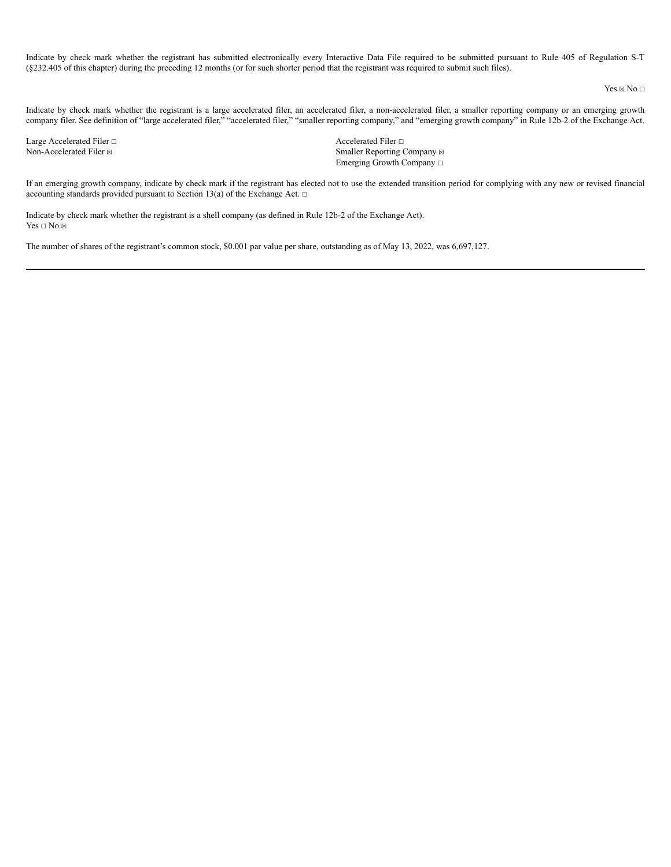Indicate by check mark whether the registrant has submitted electronically every Interactive Data File required to be submitted pursuant to Rule 405 of Regulation S-T (§232.405 of this chapter) during the preceding 12 months (or for such shorter period that the registrant was required to submit such files).

Yes  $\boxtimes$  No  $\Box$ 

Indicate by check mark whether the registrant is a large accelerated filer, an accelerated filer, a non-accelerated filer, a smaller reporting company or an emerging growth company filer. See definition of "large accelerated filer," "accelerated filer," "smaller reporting company," and "emerging growth company" in Rule 12b-2 of the Exchange Act.

Large Accelerated Filer □ and settled Filer □ and settled Filer □ and settled Filer □

Non-Accelerated Filer  $\boxtimes$  Smaller Reporting Company  $\boxtimes$ Emerging Growth Company □

If an emerging growth company, indicate by check mark if the registrant has elected not to use the extended transition period for complying with any new or revised financial accounting standards provided pursuant to Section 13(a) of the Exchange Act.  $□$ 

Indicate by check mark whether the registrant is a shell company (as defined in Rule 12b-2 of the Exchange Act).  $Yes \Box No \boxtimes$ 

The number of shares of the registrant's common stock, \$0.001 par value per share, outstanding as of May 13, 2022, was 6,697,127.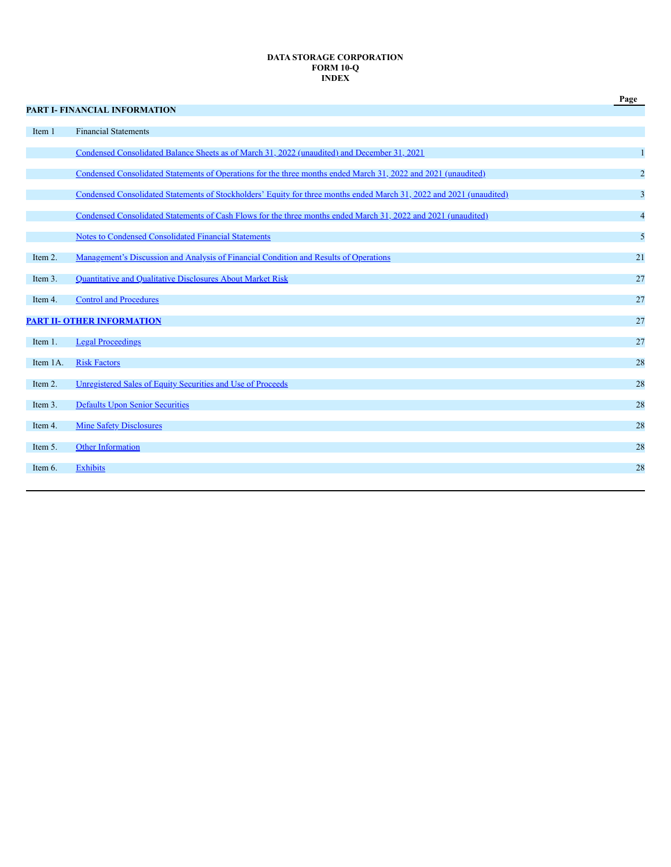# **DATA STORAGE CORPORATION FORM 10-Q INDEX**

|          |                                                                                                                      | Page                    |
|----------|----------------------------------------------------------------------------------------------------------------------|-------------------------|
|          | PART I- FINANCIAL INFORMATION                                                                                        |                         |
| Item 1   | <b>Financial Statements</b>                                                                                          |                         |
|          | Condensed Consolidated Balance Sheets as of March 31, 2022 (unaudited) and December 31, 2021                         |                         |
|          | Condensed Consolidated Statements of Operations for the three months ended March 31, 2022 and 2021 (unaudited)       | $\overline{c}$          |
|          | Condensed Consolidated Statements of Stockholders' Equity for three months ended March 31, 2022 and 2021 (unaudited) | 3                       |
|          | Condensed Consolidated Statements of Cash Flows for the three months ended March 31, 2022 and 2021 (unaudited)       | $\overline{\mathbf{4}}$ |
|          | <b>Notes to Condensed Consolidated Financial Statements</b>                                                          | 5                       |
| Item 2.  | <u>Management's Discussion and Analysis of Financial Condition and Results of Operations</u>                         | 21                      |
| Item 3.  | <b>Quantitative and Qualitative Disclosures About Market Risk</b>                                                    | 27                      |
| Item 4.  | <b>Control and Procedures</b>                                                                                        | 27                      |
|          | <b>PART II- OTHER INFORMATION</b>                                                                                    | 27                      |
| Item 1.  | <b>Legal Proceedings</b>                                                                                             | 27                      |
| Item 1A. | <b>Risk Factors</b>                                                                                                  | 28                      |
| Item 2.  | Unregistered Sales of Equity Securities and Use of Proceeds                                                          | 28                      |
| Item 3.  | <b>Defaults Upon Senior Securities</b>                                                                               | 28                      |
| Item 4.  | <b>Mine Safety Disclosures</b>                                                                                       | 28                      |
| Item 5.  | <b>Other Information</b>                                                                                             | 28                      |
| Item 6.  | <b>Exhibits</b>                                                                                                      | 28                      |
|          |                                                                                                                      |                         |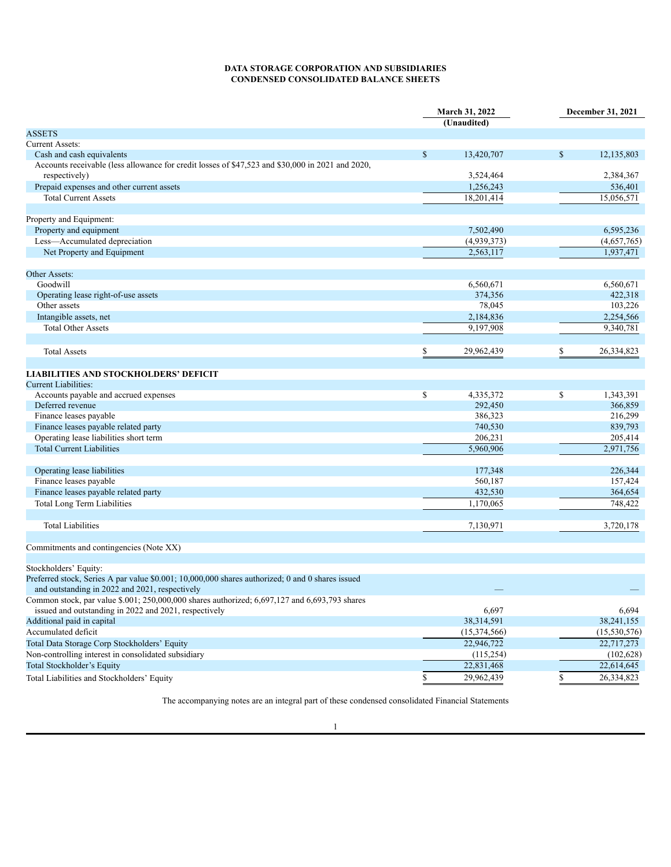# **DATA STORAGE CORPORATION AND SUBSIDIARIES CONDENSED CONSOLIDATED BALANCE SHEETS**

<span id="page-3-0"></span>

|                                                                                                                                                    | March 31, 2022<br>(Unaudited) |              |              | <b>December 31, 2021</b> |
|----------------------------------------------------------------------------------------------------------------------------------------------------|-------------------------------|--------------|--------------|--------------------------|
| <b>ASSETS</b>                                                                                                                                      |                               |              |              |                          |
| <b>Current Assets:</b>                                                                                                                             |                               |              |              |                          |
| Cash and cash equivalents                                                                                                                          | $\mathbb{S}$                  | 13,420,707   | $\mathbb{S}$ | 12,135,803               |
| Accounts receivable (less allowance for credit losses of \$47,523 and \$30,000 in 2021 and 2020,<br>respectively)                                  |                               | 3,524,464    |              | 2,384,367                |
| Prepaid expenses and other current assets                                                                                                          |                               | 1,256,243    |              | 536,401                  |
| <b>Total Current Assets</b>                                                                                                                        |                               | 18,201,414   |              | 15,056,571               |
| Property and Equipment:                                                                                                                            |                               |              |              |                          |
| Property and equipment                                                                                                                             |                               | 7,502,490    |              | 6,595,236                |
| Less-Accumulated depreciation                                                                                                                      |                               | (4,939,373)  |              | (4,657,765)              |
| Net Property and Equipment                                                                                                                         |                               | 2,563,117    |              | 1,937,471                |
|                                                                                                                                                    |                               |              |              |                          |
| Other Assets:                                                                                                                                      |                               |              |              |                          |
| Goodwill                                                                                                                                           |                               | 6,560,671    |              | 6,560,671                |
| Operating lease right-of-use assets                                                                                                                |                               | 374,356      |              | 422,318                  |
| Other assets                                                                                                                                       |                               | 78,045       |              | 103,226                  |
| Intangible assets, net                                                                                                                             |                               | 2,184,836    |              | 2,254,566                |
| <b>Total Other Assets</b>                                                                                                                          |                               | 9,197,908    |              | 9,340,781                |
| <b>Total Assets</b>                                                                                                                                | \$                            | 29,962,439   | S            | 26,334,823               |
|                                                                                                                                                    |                               |              |              |                          |
| <b>LIABILITIES AND STOCKHOLDERS' DEFICIT</b>                                                                                                       |                               |              |              |                          |
| <b>Current Liabilities:</b>                                                                                                                        |                               |              |              |                          |
| Accounts payable and accrued expenses                                                                                                              | \$                            | 4,335,372    | \$           | 1.343.391                |
| Deferred revenue                                                                                                                                   |                               | 292,450      |              | 366,859                  |
| Finance leases payable                                                                                                                             |                               | 386,323      |              | 216,299                  |
| Finance leases payable related party                                                                                                               |                               | 740,530      |              | 839,793                  |
| Operating lease liabilities short term                                                                                                             |                               | 206,231      |              | 205,414                  |
| <b>Total Current Liabilities</b>                                                                                                                   |                               | 5,960,906    |              | 2,971,756                |
| Operating lease liabilities                                                                                                                        |                               | 177,348      |              | 226,344                  |
| Finance leases payable                                                                                                                             |                               | 560,187      |              | 157,424                  |
| Finance leases payable related party                                                                                                               |                               | 432,530      |              | 364,654                  |
| Total Long Term Liabilities                                                                                                                        |                               | 1,170,065    |              | 748,422                  |
|                                                                                                                                                    |                               |              |              |                          |
| <b>Total Liabilities</b>                                                                                                                           |                               | 7,130,971    |              | 3,720,178                |
| Commitments and contingencies (Note XX)                                                                                                            |                               |              |              |                          |
| Stockholders' Equity:                                                                                                                              |                               |              |              |                          |
| Preferred stock, Series A par value \$0.001; 10,000,000 shares authorized; 0 and 0 shares issued<br>and outstanding in 2022 and 2021, respectively |                               |              |              |                          |
| Common stock, par value \$.001; 250,000,000 shares authorized; 6,697,127 and 6,693,793 shares                                                      |                               |              |              |                          |
| issued and outstanding in 2022 and 2021, respectively                                                                                              |                               | 6,697        |              | 6,694                    |
| Additional paid in capital                                                                                                                         |                               | 38,314,591   |              | 38,241,155               |
| Accumulated deficit                                                                                                                                |                               | (15,374,566) |              | (15, 530, 576)           |
| Total Data Storage Corp Stockholders' Equity                                                                                                       |                               | 22,946,722   |              | 22,717,273               |
| Non-controlling interest in consolidated subsidiary                                                                                                |                               | (115, 254)   |              | (102, 628)               |
| Total Stockholder's Equity                                                                                                                         |                               | 22,831,468   |              | 22,614,645               |
| Total Liabilities and Stockholders' Equity                                                                                                         | \$                            | 29,962,439   | \$           | 26,334,823               |

The accompanying notes are an integral part of these condensed consolidated Financial Statements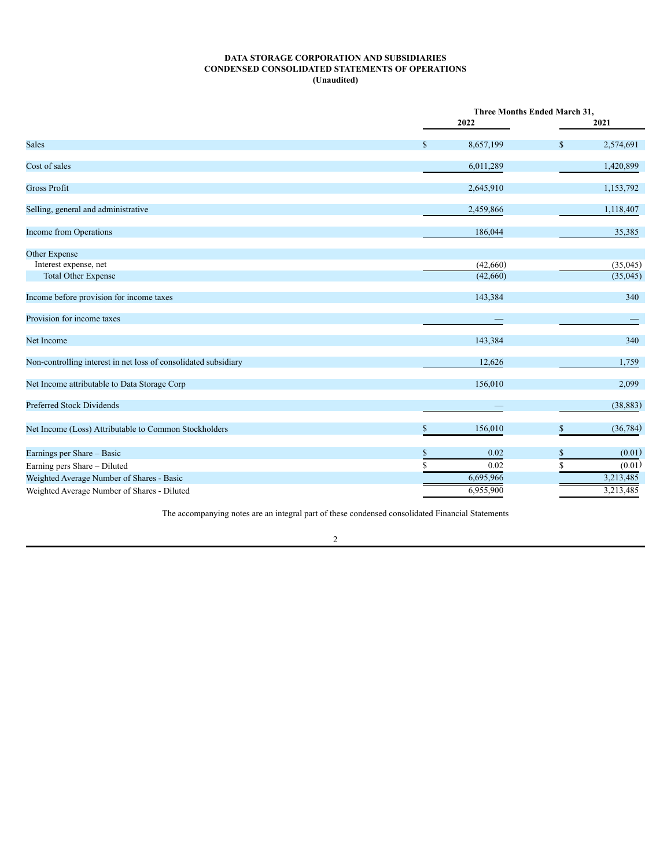# **DATA STORAGE CORPORATION AND SUBSIDIARIES CONDENSED CONSOLIDATED STATEMENTS OF OPERATIONS (Unaudited)**

| (Unaudited) |
|-------------|
|-------------|

<span id="page-4-0"></span>

|                                                                 |                                        | <b>Three Months Ended March 31,</b>         |
|-----------------------------------------------------------------|----------------------------------------|---------------------------------------------|
|                                                                 | 2022                                   | 2021                                        |
| <b>Sales</b>                                                    | $\boldsymbol{\mathsf{S}}$<br>8,657,199 | $\mathbb{S}$<br>2,574,691                   |
| Cost of sales                                                   | 6,011,289                              | 1,420,899                                   |
| <b>Gross Profit</b>                                             | 2,645,910                              | 1,153,792                                   |
| Selling, general and administrative                             | 2,459,866                              | 1,118,407                                   |
| Income from Operations                                          |                                        | 186,044<br>35,385                           |
| Other Expense                                                   |                                        |                                             |
| Interest expense, net                                           |                                        | (42,660)<br>(35,045)                        |
| <b>Total Other Expense</b>                                      |                                        | (42,660)<br>(35,045)                        |
| Income before provision for income taxes                        |                                        | 143,384<br>340                              |
| Provision for income taxes                                      |                                        |                                             |
| Net Income                                                      |                                        | 143,384<br>340                              |
| Non-controlling interest in net loss of consolidated subsidiary |                                        | 12,626<br>1,759                             |
| Net Income attributable to Data Storage Corp                    |                                        | 156,010<br>2,099                            |
| <b>Preferred Stock Dividends</b>                                |                                        | (38, 883)<br>$\qquad \qquad \longleftarrow$ |
| Net Income (Loss) Attributable to Common Stockholders           | $\boldsymbol{\mathsf{S}}$              | 156,010<br>$\mathbb{S}$<br>(36, 784)        |
| Earnings per Share - Basic                                      | $\mathbb{S}$                           | \$<br>0.02<br>(0.01)                        |
| Earning pers Share - Diluted                                    | \$                                     | (0.01)<br>0.02<br>S                         |
| Weighted Average Number of Shares - Basic                       | 6,695,966                              | 3,213,485                                   |
| Weighted Average Number of Shares - Diluted                     | 6,955,900                              | 3,213,485                                   |

The accompanying notes are an integral part of these condensed consolidated Financial Statements

2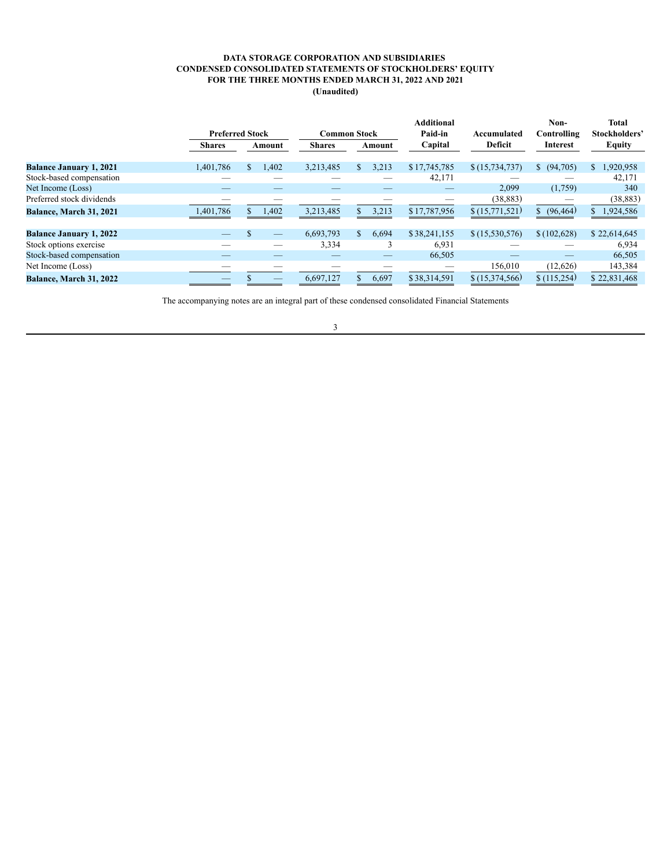# **DATA STORAGE CORPORATION AND SUBSIDIARIES CONDENSED CONSOLIDATED STATEMENTS OF STOCKHOLDERS' EQUITY FOR THE THREE MONTHS ENDED MARCH 31, 2022 AND 2021 (Unaudited)**

<span id="page-5-0"></span>

|                                | <b>Preferred Stock</b> |        | Common Stock  |        |       | <b>Additional</b><br>Paid-in | Accumulated    | Non-<br>Controlling | <b>Total</b><br>Stockholders' |
|--------------------------------|------------------------|--------|---------------|--------|-------|------------------------------|----------------|---------------------|-------------------------------|
|                                | <b>Shares</b>          | Amount | <b>Shares</b> | Amount |       | Capital                      | Deficit        | Interest            | <b>Equity</b>                 |
| <b>Balance January 1, 2021</b> | 1,401,786              | 1,402  | 3,213,485     | S.     | 3,213 | \$17,745,785                 | \$(15,734,737) | \$ (94,705)         | .920,958<br>S.                |
| Stock-based compensation       |                        |        |               |        |       | 42,171                       |                |                     | 42,171                        |
| Net Income (Loss)              |                        |        |               |        |       |                              | 2,099          | (1,759)             | 340                           |
| Preferred stock dividends      |                        |        |               |        |       |                              | (38, 883)      |                     | (38, 883)                     |
| Balance, March 31, 2021        | ,401,786               | 1,402  | 3,213,485     |        | 3,213 | \$17,787,956                 | \$(15,771,521) | \$ (96, 464)        | 1,924,586                     |
|                                |                        |        |               |        |       |                              |                |                     |                               |
| <b>Balance January 1, 2022</b> |                        |        | 6,693,793     | \$.    | 6,694 | \$38,241,155                 | \$(15,530,576) | \$(102,628)         | \$22,614,645                  |
| Stock options exercise         |                        |        | 3,334         |        |       | 6,931                        |                |                     | 6,934                         |
| Stock-based compensation       |                        |        |               |        |       | 66,505                       |                |                     | 66,505                        |
| Net Income (Loss)              |                        |        |               |        |       |                              | 156,010        | (12,626)            | 143,384                       |
| Balance, March 31, 2022        |                        |        | 6,697,127     |        | 6,697 | \$38,314,591                 | \$(15,374,566) | \$(115,254)         | \$22,831,468                  |

The accompanying notes are an integral part of these condensed consolidated Financial Statements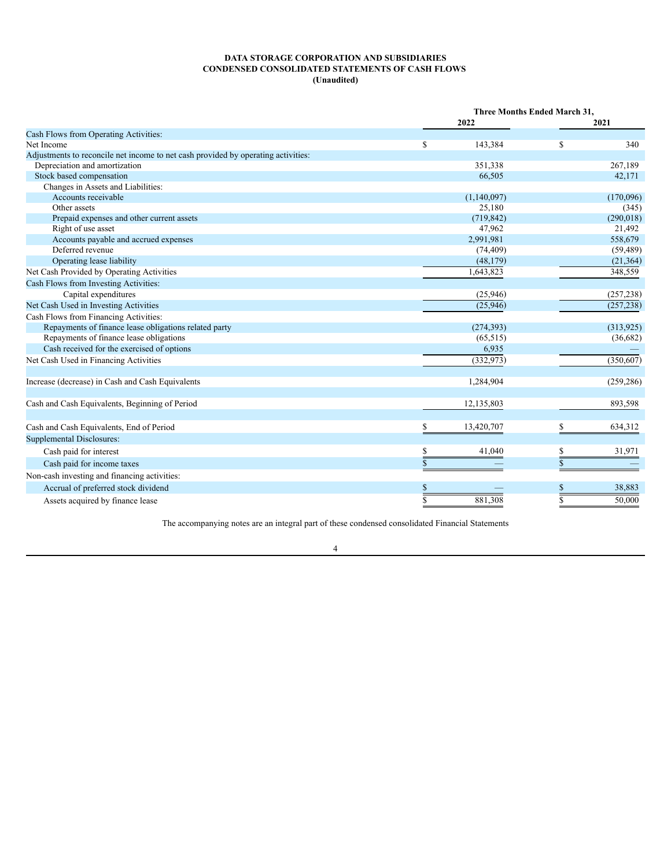# **DATA STORAGE CORPORATION AND SUBSIDIARIES CONDENSED CONSOLIDATED STATEMENTS OF CASH FLOWS (Unaudited)**

<span id="page-6-0"></span>

|                                                                                   | <b>Three Months Ended March 31,</b> |             |    |            |
|-----------------------------------------------------------------------------------|-------------------------------------|-------------|----|------------|
|                                                                                   |                                     | 2022        |    | 2021       |
| Cash Flows from Operating Activities:                                             |                                     |             |    |            |
| Net Income                                                                        | \$                                  | 143,384     | \$ | 340        |
| Adjustments to reconcile net income to net cash provided by operating activities: |                                     |             |    |            |
| Depreciation and amortization                                                     |                                     | 351,338     |    | 267,189    |
| Stock based compensation                                                          |                                     | 66,505      |    | 42,171     |
| Changes in Assets and Liabilities:                                                |                                     |             |    |            |
| Accounts receivable                                                               |                                     | (1,140,097) |    | (170,096)  |
| Other assets                                                                      |                                     | 25,180      |    | (345)      |
| Prepaid expenses and other current assets                                         |                                     | (719, 842)  |    | (290, 018) |
| Right of use asset                                                                |                                     | 47,962      |    | 21,492     |
| Accounts payable and accrued expenses                                             |                                     | 2,991,981   |    | 558,679    |
| Deferred revenue                                                                  |                                     | (74, 409)   |    | (59, 489)  |
| Operating lease liability                                                         |                                     | (48, 179)   |    | (21, 364)  |
| Net Cash Provided by Operating Activities                                         |                                     | 1,643,823   |    | 348,559    |
| Cash Flows from Investing Activities:                                             |                                     |             |    |            |
| Capital expenditures                                                              |                                     | (25,946)    |    | (257, 238) |
| Net Cash Used in Investing Activities                                             |                                     | (25,946)    |    | (257, 238) |
| Cash Flows from Financing Activities:                                             |                                     |             |    |            |
| Repayments of finance lease obligations related party                             |                                     | (274, 393)  |    | (313,925)  |
| Repayments of finance lease obligations                                           |                                     | (65, 515)   |    | (36,682)   |
| Cash received for the exercised of options                                        |                                     | 6,935       |    |            |
| Net Cash Used in Financing Activities                                             |                                     | (332,973)   |    | (350, 607) |
| Increase (decrease) in Cash and Cash Equivalents                                  |                                     | 1,284,904   |    | (259, 286) |
| Cash and Cash Equivalents, Beginning of Period                                    |                                     | 12,135,803  |    | 893,598    |
| Cash and Cash Equivalents, End of Period                                          | \$                                  | 13,420,707  | \$ | 634,312    |
| Supplemental Disclosures:                                                         |                                     |             |    |            |
| Cash paid for interest                                                            | \$                                  | 41,040      | \$ | 31,971     |
| Cash paid for income taxes                                                        | \$                                  |             | \$ |            |
| Non-cash investing and financing activities:                                      |                                     |             |    |            |
| Accrual of preferred stock dividend                                               | \$                                  |             | \$ | 38,883     |
| Assets acquired by finance lease                                                  | \$                                  | 881,308     | \$ | 50,000     |

The accompanying notes are an integral part of these condensed consolidated Financial Statements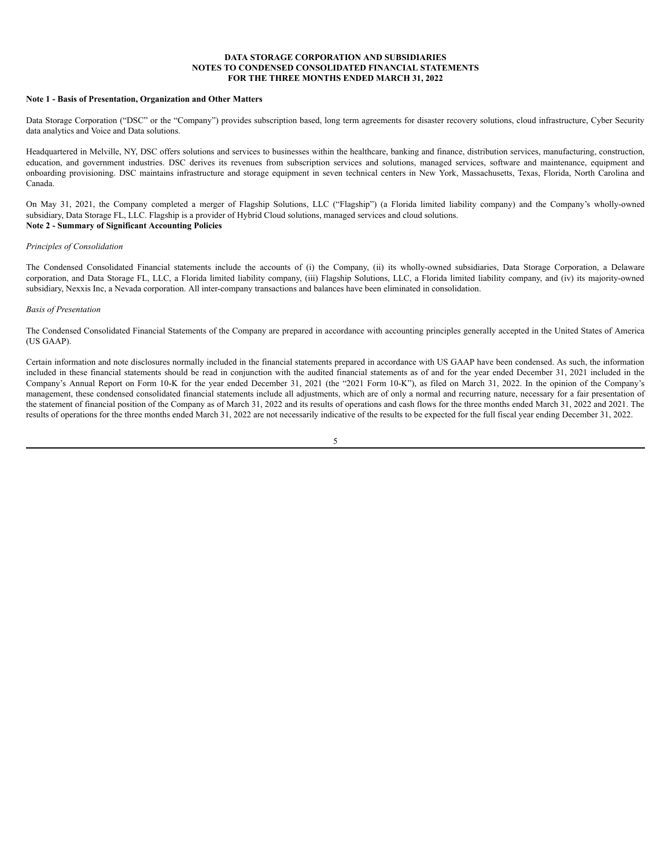#### **DATA STORAGE CORPORATION AND SUBSIDIARIES NOTES TO CONDENSED CONSOLIDATED FINANCIAL STATEMENTS FOR THE THREE MONTHS ENDED MARCH 31, 2022**

#### <span id="page-7-0"></span>**Note 1 - Basis of Presentation, Organization and Other Matters**

Data Storage Corporation ("DSC" or the "Company") provides subscription based, long term agreements for disaster recovery solutions, cloud infrastructure, Cyber Security data analytics and Voice and Data solutions.

Headquartered in Melville, NY, DSC offers solutions and services to businesses within the healthcare, banking and finance, distribution services, manufacturing, construction, education, and government industries. DSC derives its revenues from subscription services and solutions, managed services, software and maintenance, equipment and onboarding provisioning. DSC maintains infrastructure and storage equipment in seven technical centers in New York, Massachusetts, Texas, Florida, North Carolina and Canada.

On May 31, 2021, the Company completed a merger of Flagship Solutions, LLC ("Flagship") (a Florida limited liability company) and the Company's wholly-owned subsidiary, Data Storage FL, LLC. Flagship is a provider of Hybrid Cloud solutions, managed services and cloud solutions. **Note 2 - Summary of Significant Accounting Policies**

#### *Principles of Consolidation*

The Condensed Consolidated Financial statements include the accounts of (i) the Company, (ii) its wholly-owned subsidiaries, Data Storage Corporation, a Delaware corporation, and Data Storage FL, LLC, a Florida limited liability company, (iii) Flagship Solutions, LLC, a Florida limited liability company, and (iv) its majority-owned subsidiary, Nexxis Inc, a Nevada corporation. All inter-company transactions and balances have been eliminated in consolidation.

#### *Basis of Presentation*

The Condensed Consolidated Financial Statements of the Company are prepared in accordance with accounting principles generally accepted in the United States of America (US GAAP).

Certain information and note disclosures normally included in the financial statements prepared in accordance with US GAAP have been condensed. As such, the information included in these financial statements should be read in conjunction with the audited financial statements as of and for the year ended December 31, 2021 included in the Company's Annual Report on Form 10-K for the year ended December 31, 2021 (the "2021 Form 10-K"), as filed on March 31, 2022. In the opinion of the Company's management, these condensed consolidated financial statements include all adjustments, which are of only a normal and recurring nature, necessary for a fair presentation of the statement of financial position of the Company as of March 31, 2022 and its results of operations and cash flows for the three months ended March 31, 2022 and 2021. The results of operations for the three months ended March 31, 2022 are not necessarily indicative of the results to be expected for the full fiscal year ending December 31, 2022.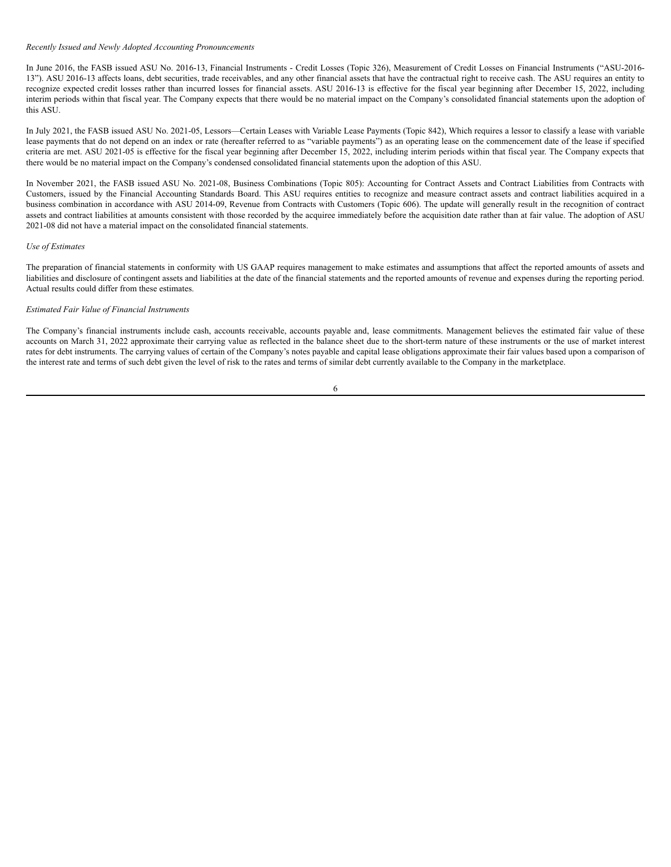#### *Recently Issued and Newly Adopted Accounting Pronouncements*

In June 2016, the FASB issued ASU No. 2016-13, Financial Instruments - Credit Losses (Topic 326), Measurement of Credit Losses on Financial Instruments ("ASU-2016- 13"). ASU 2016-13 affects loans, debt securities, trade receivables, and any other financial assets that have the contractual right to receive cash. The ASU requires an entity to recognize expected credit losses rather than incurred losses for financial assets. ASU 2016-13 is effective for the fiscal year beginning after December 15, 2022, including interim periods within that fiscal year. The Company expects that there would be no material impact on the Company's consolidated financial statements upon the adoption of this ASU.

In July 2021, the FASB issued ASU No. 2021-05, Lessors—Certain Leases with Variable Lease Payments (Topic 842), Which requires a lessor to classify a lease with variable lease payments that do not depend on an index or rate (hereafter referred to as "variable payments") as an operating lease on the commencement date of the lease if specified criteria are met. ASU 2021-05 is effective for the fiscal year beginning after December 15, 2022, including interim periods within that fiscal year. The Company expects that there would be no material impact on the Company's condensed consolidated financial statements upon the adoption of this ASU.

In November 2021, the FASB issued ASU No. 2021-08, Business Combinations (Topic 805): Accounting for Contract Assets and Contract Liabilities from Contracts with Customers, issued by the Financial Accounting Standards Board. This ASU requires entities to recognize and measure contract assets and contract liabilities acquired in a business combination in accordance with ASU 2014-09, Revenue from Contracts with Customers (Topic 606). The update will generally result in the recognition of contract assets and contract liabilities at amounts consistent with those recorded by the acquiree immediately before the acquisition date rather than at fair value. The adoption of ASU 2021-08 did not have a material impact on the consolidated financial statements.

#### *Use of Estimates*

The preparation of financial statements in conformity with US GAAP requires management to make estimates and assumptions that affect the reported amounts of assets and liabilities and disclosure of contingent assets and liabilities at the date of the financial statements and the reported amounts of revenue and expenses during the reporting period. Actual results could differ from these estimates.

#### *Estimated Fair Value of Financial Instruments*

The Company's financial instruments include cash, accounts receivable, accounts payable and, lease commitments. Management believes the estimated fair value of these accounts on March 31, 2022 approximate their carrying value as reflected in the balance sheet due to the short-term nature of these instruments or the use of market interest rates for debt instruments. The carrying values of certain of the Company's notes payable and capital lease obligations approximate their fair values based upon a comparison of the interest rate and terms of such debt given the level of risk to the rates and terms of similar debt currently available to the Company in the marketplace.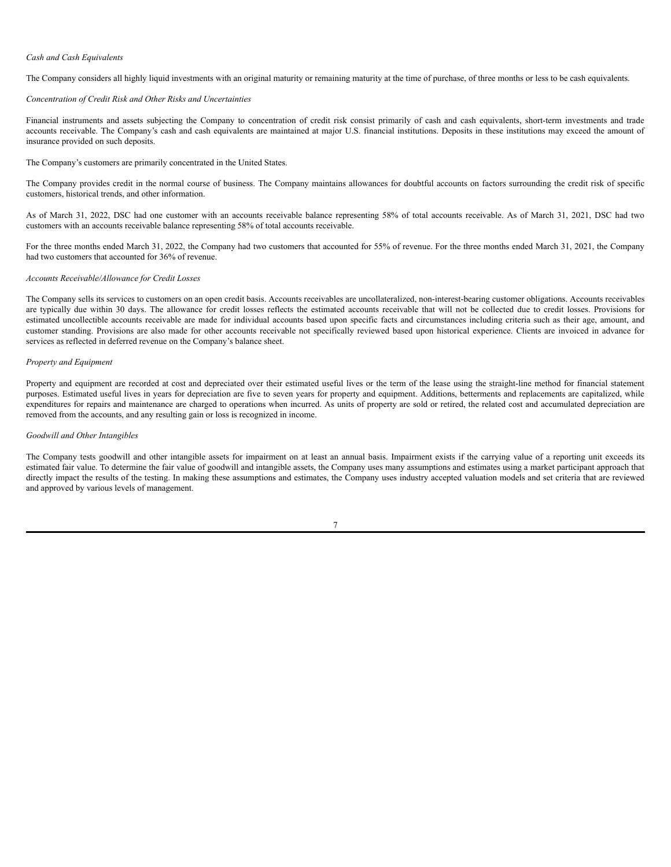#### *Cash and Cash Equivalents*

The Company considers all highly liquid investments with an original maturity or remaining maturity at the time of purchase, of three months or less to be cash equivalents.

#### *Concentration of Credit Risk and Other Risks and Uncertainties*

Financial instruments and assets subjecting the Company to concentration of credit risk consist primarily of cash and cash equivalents, short-term investments and trade accounts receivable. The Company's cash and cash equivalents are maintained at major U.S. financial institutions. Deposits in these institutions may exceed the amount of insurance provided on such deposits.

#### The Company's customers are primarily concentrated in the United States.

The Company provides credit in the normal course of business. The Company maintains allowances for doubtful accounts on factors surrounding the credit risk of specific customers, historical trends, and other information.

As of March 31, 2022, DSC had one customer with an accounts receivable balance representing 58% of total accounts receivable. As of March 31, 2021, DSC had two customers with an accounts receivable balance representing 58% of total accounts receivable.

For the three months ended March 31, 2022, the Company had two customers that accounted for 55% of revenue. For the three months ended March 31, 2021, the Company had two customers that accounted for 36% of revenue.

#### *Accounts Receivable/Allowance for Credit Losses*

The Company sells its services to customers on an open credit basis. Accounts receivables are uncollateralized, non-interest-bearing customer obligations. Accounts receivables are typically due within 30 days. The allowance for credit losses reflects the estimated accounts receivable that will not be collected due to credit losses. Provisions for estimated uncollectible accounts receivable are made for individual accounts based upon specific facts and circumstances including criteria such as their age, amount, and customer standing. Provisions are also made for other accounts receivable not specifically reviewed based upon historical experience. Clients are invoiced in advance for services as reflected in deferred revenue on the Company's balance sheet.

#### *Property and Equipment*

Property and equipment are recorded at cost and depreciated over their estimated useful lives or the term of the lease using the straight-line method for financial statement purposes. Estimated useful lives in years for depreciation are five to seven years for property and equipment. Additions, betterments and replacements are capitalized, while expenditures for repairs and maintenance are charged to operations when incurred. As units of property are sold or retired, the related cost and accumulated depreciation are removed from the accounts, and any resulting gain or loss is recognized in income.

#### *Goodwill and Other Intangibles*

The Company tests goodwill and other intangible assets for impairment on at least an annual basis. Impairment exists if the carrying value of a reporting unit exceeds its estimated fair value. To determine the fair value of goodwill and intangible assets, the Company uses many assumptions and estimates using a market participant approach that directly impact the results of the testing. In making these assumptions and estimates, the Company uses industry accepted valuation models and set criteria that are reviewed and approved by various levels of management.

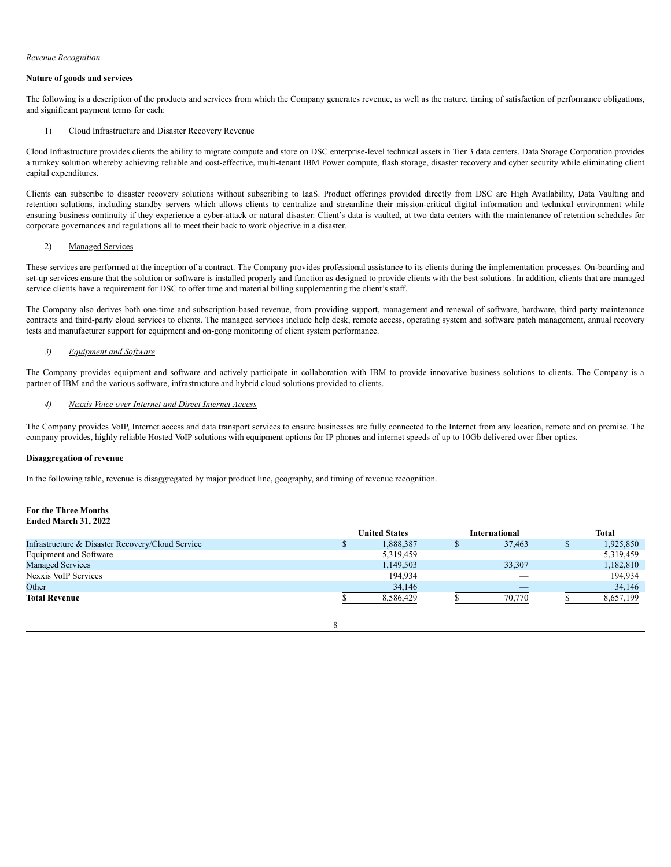#### **Nature of goods and services**

The following is a description of the products and services from which the Company generates revenue, as well as the nature, timing of satisfaction of performance obligations, and significant payment terms for each:

#### 1) Cloud Infrastructure and Disaster Recovery Revenue

Cloud Infrastructure provides clients the ability to migrate compute and store on DSC enterprise-level technical assets in Tier 3 data centers. Data Storage Corporation provides a turnkey solution whereby achieving reliable and cost-effective, multi-tenant IBM Power compute, flash storage, disaster recovery and cyber security while eliminating client capital expenditures.

Clients can subscribe to disaster recovery solutions without subscribing to IaaS. Product offerings provided directly from DSC are High Availability, Data Vaulting and retention solutions, including standby servers which allows clients to centralize and streamline their mission-critical digital information and technical environment while ensuring business continuity if they experience a cyber-attack or natural disaster. Client's data is vaulted, at two data centers with the maintenance of retention schedules for corporate governances and regulations all to meet their back to work objective in a disaster.

#### 2) Managed Services

These services are performed at the inception of a contract. The Company provides professional assistance to its clients during the implementation processes. On-boarding and set-up services ensure that the solution or software is installed properly and function as designed to provide clients with the best solutions. In addition, clients that are managed service clients have a requirement for DSC to offer time and material billing supplementing the client's staff.

The Company also derives both one-time and subscription-based revenue, from providing support, management and renewal of software, hardware, third party maintenance contracts and third-party cloud services to clients. The managed services include help desk, remote access, operating system and software patch management, annual recovery tests and manufacturer support for equipment and on-gong monitoring of client system performance.

#### *3) Equipment and Software*

The Company provides equipment and software and actively participate in collaboration with IBM to provide innovative business solutions to clients. The Company is a partner of IBM and the various software, infrastructure and hybrid cloud solutions provided to clients.

#### *4) Nexxis Voice over Internet and Direct Internet Access*

The Company provides VoIP, Internet access and data transport services to ensure businesses are fully connected to the Internet from any location, remote and on premise. The company provides, highly reliable Hosted VoIP solutions with equipment options for IP phones and internet speeds of up to 10Gb delivered over fiber optics.

#### **Disaggregation of revenue**

In the following table, revenue is disaggregated by major product line, geography, and timing of revenue recognition.

#### **For the Three Months Ended March 31, 2022**

|                                                  | <b>United States</b> | <b>International</b> | Total     |
|--------------------------------------------------|----------------------|----------------------|-----------|
| Infrastructure & Disaster Recovery/Cloud Service | 1,888,387            | 37,463               | 1,925,850 |
| Equipment and Software                           | 5,319,459            |                      | 5,319,459 |
| <b>Managed Services</b>                          | 1,149,503            | 33,307               | 1,182,810 |
| Nexxis VoIP Services                             | 194,934              |                      | 194,934   |
| Other                                            | 34,146               |                      | 34,146    |
| <b>Total Revenue</b>                             | 8,586,429            | 70,770               | 8,657,199 |
|                                                  |                      |                      |           |
|                                                  |                      |                      |           |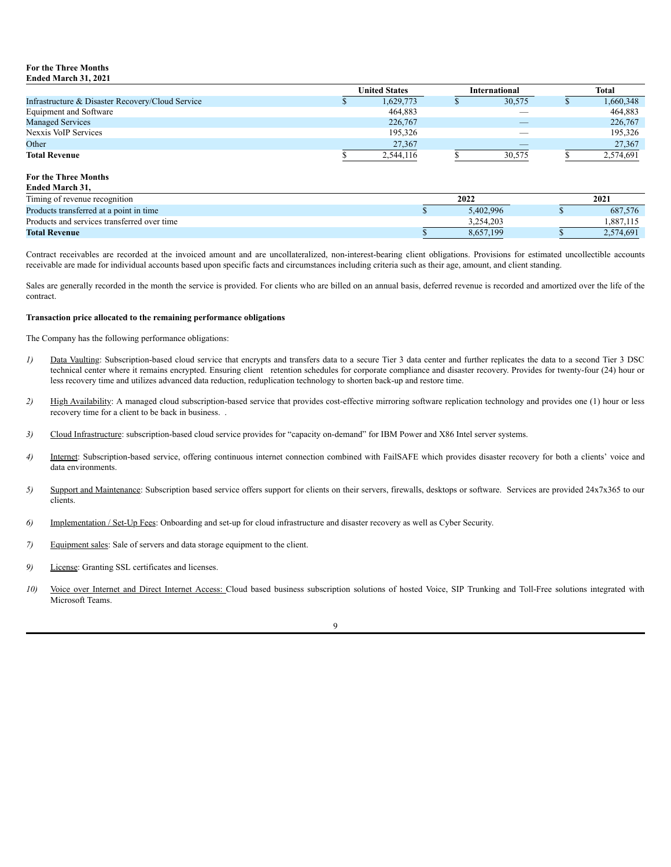#### **For the Three Months Ended March 31, 2021**

|                                                  | <b>United States</b> | <b>International</b> | <b>Total</b> |
|--------------------------------------------------|----------------------|----------------------|--------------|
| Infrastructure & Disaster Recovery/Cloud Service | 1,629,773            | 30,575               | 1,660,348    |
| Equipment and Software                           | 464,883              |                      | 464,883      |
| <b>Managed Services</b>                          | 226,767              |                      | 226,767      |
| Nexxis VoIP Services                             | 195,326              | __                   | 195,326      |
| Other                                            | 27,367               |                      | 27,367       |
| <b>Total Revenue</b>                             | 2,544,116            | 30,575               | 2,574,691    |

#### **For the Three Months Ended March 31,**

| Timing of revenue recognition               | 2022      | 2021      |  |  |
|---------------------------------------------|-----------|-----------|--|--|
| Products transferred at a point in time     | 5.402.996 | 687,576   |  |  |
| Products and services transferred over time | 3,254,203 | .887.11:  |  |  |
| <b>Total Revenue</b>                        | 8,657,199 | 1.574.691 |  |  |

Contract receivables are recorded at the invoiced amount and are uncollateralized, non-interest-bearing client obligations. Provisions for estimated uncollectible accounts receivable are made for individual accounts based upon specific facts and circumstances including criteria such as their age, amount, and client standing.

Sales are generally recorded in the month the service is provided. For clients who are billed on an annual basis, deferred revenue is recorded and amortized over the life of the contract.

#### **Transaction price allocated to the remaining performance obligations**

The Company has the following performance obligations:

- *1*) Data Vaulting: Subscription-based cloud service that encrypts and transfers data to a secure Tier 3 data center and further replicates the data to a second Tier 3 DSC technical center where it remains encrypted. Ensuring client retention schedules for corporate compliance and disaster recovery. Provides for twenty-four (24) hour or less recovery time and utilizes advanced data reduction, reduplication technology to shorten back-up and restore time.
- *2)* High Availability: A managed cloud subscription-based service that provides cost-effective mirroring software replication technology and provides one (1) hour or less recovery time for a client to be back in business. .
- *3)* Cloud Infrastructure: subscription-based cloud service provides for "capacity on-demand" for IBM Power and X86 Intel server systems.
- *4)* Internet: Subscription-based service, offering continuous internet connection combined with FailSAFE which provides disaster recovery for both a clients' voice and data environments.
- *5)* Support and Maintenance: Subscription based service offers support for clients on their servers, firewalls, desktops or software. Services are provided 24x7x365 to our clients.
- *6)* Implementation / Set-Up Fees: Onboarding and set-up for cloud infrastructure and disaster recovery as well as Cyber Security.
- *7)* Equipment sales: Sale of servers and data storage equipment to the client.
- *9)* License: Granting SSL certificates and licenses.
- *10)* Voice over Internet and Direct Internet Access: Cloud based business subscription solutions of hosted Voice, SIP Trunking and Toll-Free solutions integrated with Microsoft Teams.

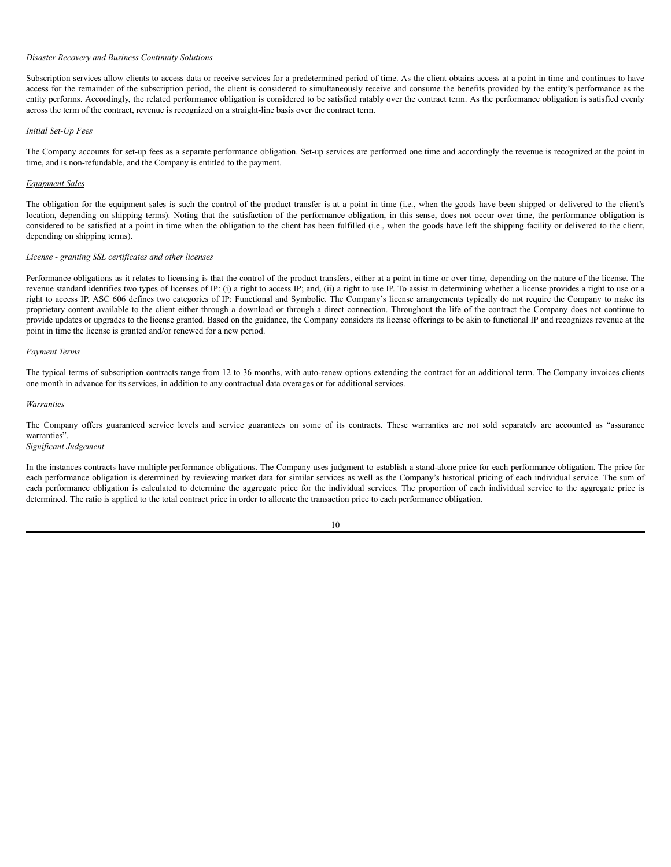#### *Disaster Recovery and Business Continuity Solutions*

Subscription services allow clients to access data or receive services for a predetermined period of time. As the client obtains access at a point in time and continues to have access for the remainder of the subscription period, the client is considered to simultaneously receive and consume the benefits provided by the entity's performance as the entity performs. Accordingly, the related performance obligation is considered to be satisfied ratably over the contract term. As the performance obligation is satisfied evenly across the term of the contract, revenue is recognized on a straight-line basis over the contract term.

#### *Initial Set-Up Fees*

The Company accounts for set-up fees as a separate performance obligation. Set-up services are performed one time and accordingly the revenue is recognized at the point in time, and is non-refundable, and the Company is entitled to the payment.

#### *Equipment Sales*

The obligation for the equipment sales is such the control of the product transfer is at a point in time (i.e., when the goods have been shipped or delivered to the client's location, depending on shipping terms). Noting that the satisfaction of the performance obligation, in this sense, does not occur over time, the performance obligation is considered to be satisfied at a point in time when the obligation to the client has been fulfilled (i.e., when the goods have left the shipping facility or delivered to the client, depending on shipping terms).

# *License - granting SSL certificates and other licenses*

Performance obligations as it relates to licensing is that the control of the product transfers, either at a point in time or over time, depending on the nature of the license. The revenue standard identifies two types of licenses of IP: (i) a right to access IP; and, (ii) a right to use IP. To assist in determining whether a license provides a right to use or a right to access IP, ASC 606 defines two categories of IP: Functional and Symbolic. The Company's license arrangements typically do not require the Company to make its proprietary content available to the client either through a download or through a direct connection. Throughout the life of the contract the Company does not continue to provide updates or upgrades to the license granted. Based on the guidance, the Company considers its license offerings to be akin to functional IP and recognizes revenue at the point in time the license is granted and/or renewed for a new period.

#### *Payment Terms*

The typical terms of subscription contracts range from 12 to 36 months, with auto-renew options extending the contract for an additional term. The Company invoices clients one month in advance for its services, in addition to any contractual data overages or for additional services.

#### *Warranties*

The Company offers guaranteed service levels and service guarantees on some of its contracts. These warranties are not sold separately are accounted as "assurance warranties".

# *Significant Judgement*

In the instances contracts have multiple performance obligations. The Company uses judgment to establish a stand-alone price for each performance obligation. The price for each performance obligation is determined by reviewing market data for similar services as well as the Company's historical pricing of each individual service. The sum of each performance obligation is calculated to determine the aggregate price for the individual services. The proportion of each individual service to the aggregate price is determined. The ratio is applied to the total contract price in order to allocate the transaction price to each performance obligation.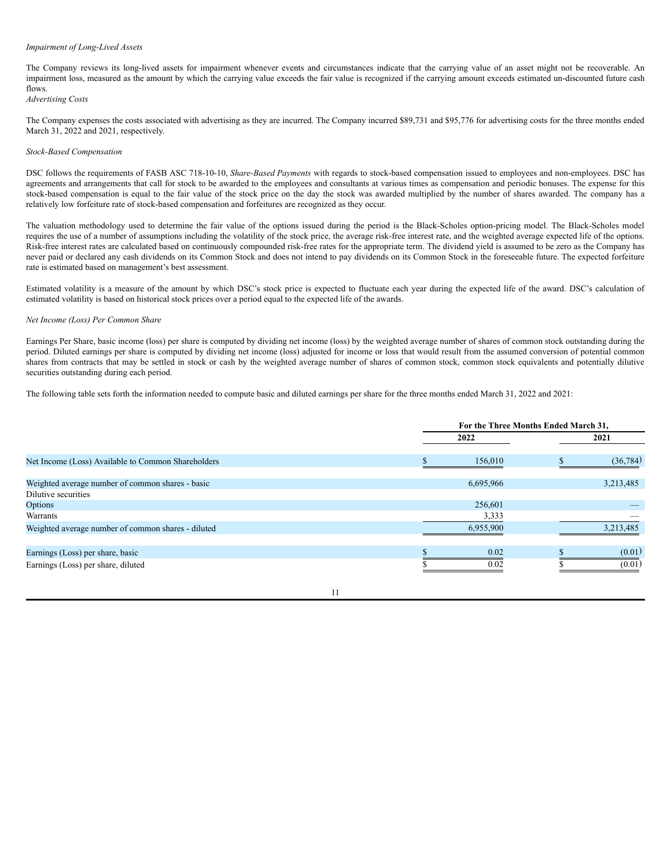# *Impairment of Long-Lived Assets*

The Company reviews its long-lived assets for impairment whenever events and circumstances indicate that the carrying value of an asset might not be recoverable. An impairment loss, measured as the amount by which the carrying value exceeds the fair value is recognized if the carrying amount exceeds estimated un-discounted future cash flows.

*Advertising Costs*

The Company expenses the costs associated with advertising as they are incurred. The Company incurred \$89,731 and \$95,776 for advertising costs for the three months ended March 31, 2022 and 2021, respectively.

#### *Stock-Based Compensation*

DSC follows the requirements of FASB ASC 718-10-10, *Share-Based Payments* with regards to stock-based compensation issued to employees and non-employees. DSC has agreements and arrangements that call for stock to be awarded to the employees and consultants at various times as compensation and periodic bonuses. The expense for this stock-based compensation is equal to the fair value of the stock price on the day the stock was awarded multiplied by the number of shares awarded. The company has a relatively low forfeiture rate of stock-based compensation and forfeitures are recognized as they occur.

The valuation methodology used to determine the fair value of the options issued during the period is the Black-Scholes option-pricing model. The Black-Scholes model requires the use of a number of assumptions including the volatility of the stock price, the average risk-free interest rate, and the weighted average expected life of the options. Risk-free interest rates are calculated based on continuously compounded risk-free rates for the appropriate term. The dividend yield is assumed to be zero as the Company has never paid or declared any cash dividends on its Common Stock and does not intend to pay dividends on its Common Stock in the foreseeable future. The expected forfeiture rate is estimated based on management's best assessment.

Estimated volatility is a measure of the amount by which DSC's stock price is expected to fluctuate each year during the expected life of the award. DSC's calculation of estimated volatility is based on historical stock prices over a period equal to the expected life of the awards.

## *Net Income (Loss) Per Common Share*

Earnings Per Share, basic income (loss) per share is computed by dividing net income (loss) by the weighted average number of shares of common stock outstanding during the period. Diluted earnings per share is computed by dividing net income (loss) adjusted for income or loss that would result from the assumed conversion of potential common shares from contracts that may be settled in stock or cash by the weighted average number of shares of common stock, common stock equivalents and potentially dilutive securities outstanding during each period.

The following table sets forth the information needed to compute basic and diluted earnings per share for the three months ended March 31, 2022 and 2021:

|                                                    |           | For the Three Months Ended March 31, |  |  |  |
|----------------------------------------------------|-----------|--------------------------------------|--|--|--|
|                                                    | 2022      | 2021                                 |  |  |  |
| Net Income (Loss) Available to Common Shareholders | 156,010   | (36, 784)                            |  |  |  |
| Weighted average number of common shares - basic   | 6,695,966 | 3,213,485                            |  |  |  |
| Dilutive securities<br>Options                     | 256,601   |                                      |  |  |  |
| Warrants                                           | 3,333     |                                      |  |  |  |
| Weighted average number of common shares - diluted | 6,955,900 | 3,213,485                            |  |  |  |
| Earnings (Loss) per share, basic                   | 0.02      | (0.01)                               |  |  |  |
| Earnings (Loss) per share, diluted                 | 0.02      | (0.01)                               |  |  |  |
|                                                    |           |                                      |  |  |  |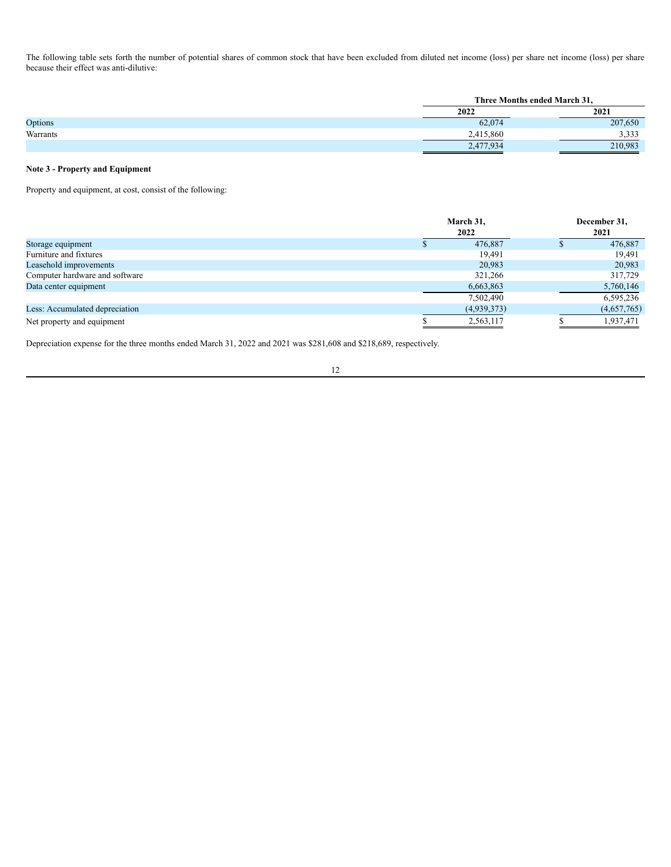The following table sets forth the number of potential shares of common stock that have been excluded from diluted net income (loss) per share net income (loss) per share net income (loss) per share because their effect was anti-dilutive:

|          |           | Three Months ended March 31, |
|----------|-----------|------------------------------|
|          | 2022      | 2021                         |
| Options  | 62,074    | 207,650                      |
| Warrants | 2,415,860 | 3.333                        |
|          | 2,477,934 | 210,983                      |

# **Note 3 - Property and Equipment**

Property and equipment, at cost, consist of the following:

|                                | March 31,   |  | December 31, |  |
|--------------------------------|-------------|--|--------------|--|
|                                | 2022        |  | 2021         |  |
| Storage equipment              | 476,887     |  | 476.887      |  |
| Furniture and fixtures         | 19,491      |  | 19,491       |  |
| Leasehold improvements         | 20,983      |  | 20,983       |  |
| Computer hardware and software | 321,266     |  | 317.729      |  |
| Data center equipment          | 6,663,863   |  | 5,760,146    |  |
|                                | 7,502,490   |  | 6,595,236    |  |
| Less: Accumulated depreciation | (4,939,373) |  | (4,657,765)  |  |
| Net property and equipment     | 2,563,117   |  | 1,937,471    |  |

Depreciation expense for the three months ended March 31, 2022 and 2021 was \$281,608 and \$218,689, respectively.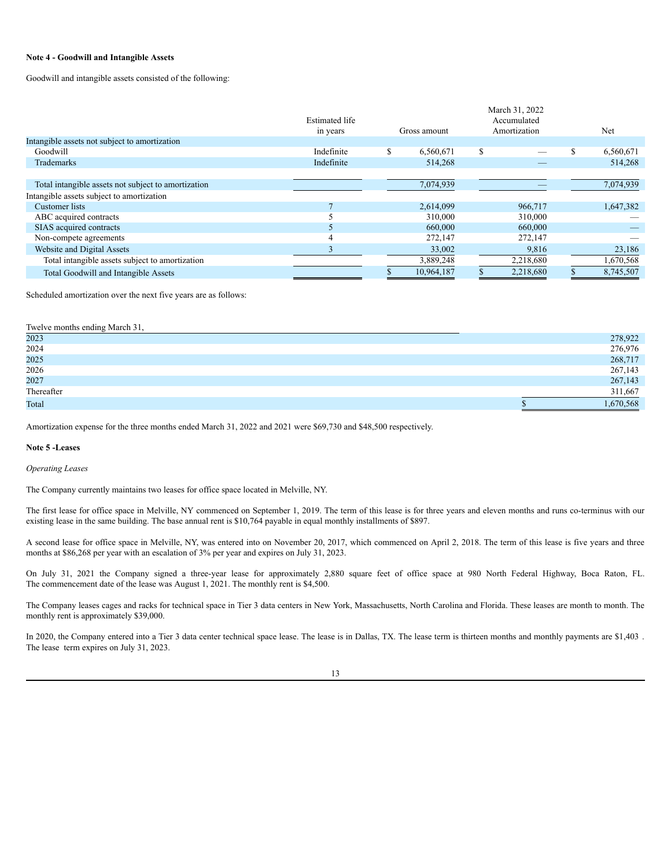#### **Note 4 - Goodwill and Intangible Assets**

Goodwill and intangible assets consisted of the following:

|                                                     | <b>Estimated life</b><br>in years |    | Gross amount | March 31, 2022<br>Accumulated<br>Amortization |    | Net       |
|-----------------------------------------------------|-----------------------------------|----|--------------|-----------------------------------------------|----|-----------|
| Intangible assets not subject to amortization       |                                   |    |              |                                               |    |           |
| Goodwill                                            | Indefinite                        | ъ. | 6,560,671    | \$                                            | J. | 6,560,671 |
| Trademarks                                          | Indefinite                        |    | 514,268      |                                               |    | 514,268   |
|                                                     |                                   |    |              |                                               |    |           |
| Total intangible assets not subject to amortization |                                   |    | 7,074,939    |                                               |    | 7,074,939 |
| Intangible assets subject to amortization           |                                   |    |              |                                               |    |           |
| Customer lists                                      |                                   |    | 2,614,099    | 966,717                                       |    | 1,647,382 |
| ABC acquired contracts                              |                                   |    | 310,000      | 310,000                                       |    |           |
| SIAS acquired contracts                             |                                   |    | 660,000      | 660,000                                       |    |           |
| Non-compete agreements                              | 4                                 |    | 272,147      | 272,147                                       |    |           |
| Website and Digital Assets                          |                                   |    | 33,002       | 9,816                                         |    | 23,186    |
| Total intangible assets subject to amortization     |                                   |    | 3,889,248    | 2,218,680                                     |    | 1,670,568 |
| Total Goodwill and Intangible Assets                |                                   |    | 10,964,187   | 2,218,680                                     |    | 8,745,507 |

Scheduled amortization over the next five years are as follows:

| Twelve months ending March 31, |           |
|--------------------------------|-----------|
| 2023                           | 278,922   |
| 2024                           | 276,976   |
| 2025                           | 268,717   |
| 2026                           | 267,143   |
| 2027                           | 267,143   |
| Thereafter                     | 311,667   |
| Total                          | 1,670,568 |

Amortization expense for the three months ended March 31, 2022 and 2021 were \$69,730 and \$48,500 respectively.

#### **Note 5 -Leases**

*Operating Leases*

The Company currently maintains two leases for office space located in Melville, NY.

The first lease for office space in Melville, NY commenced on September 1, 2019. The term of this lease is for three years and eleven months and runs co-terminus with our existing lease in the same building. The base annual rent is \$10,764 payable in equal monthly installments of \$897.

A second lease for office space in Melville, NY, was entered into on November 20, 2017, which commenced on April 2, 2018. The term of this lease is five years and three months at \$86,268 per year with an escalation of 3% per year and expires on July 31, 2023.

On July 31, 2021 the Company signed a three-year lease for approximately 2,880 square feet of office space at 980 North Federal Highway, Boca Raton, FL. The commencement date of the lease was August 1, 2021. The monthly rent is \$4,500.

The Company leases cages and racks for technical space in Tier 3 data centers in New York, Massachusetts, North Carolina and Florida. These leases are month to month. The monthly rent is approximately \$39,000.

In 2020, the Company entered into a Tier 3 data center technical space lease. The lease is in Dallas, TX. The lease term is thirteen months and monthly payments are \$1,403 . The lease term expires on July 31, 2023.

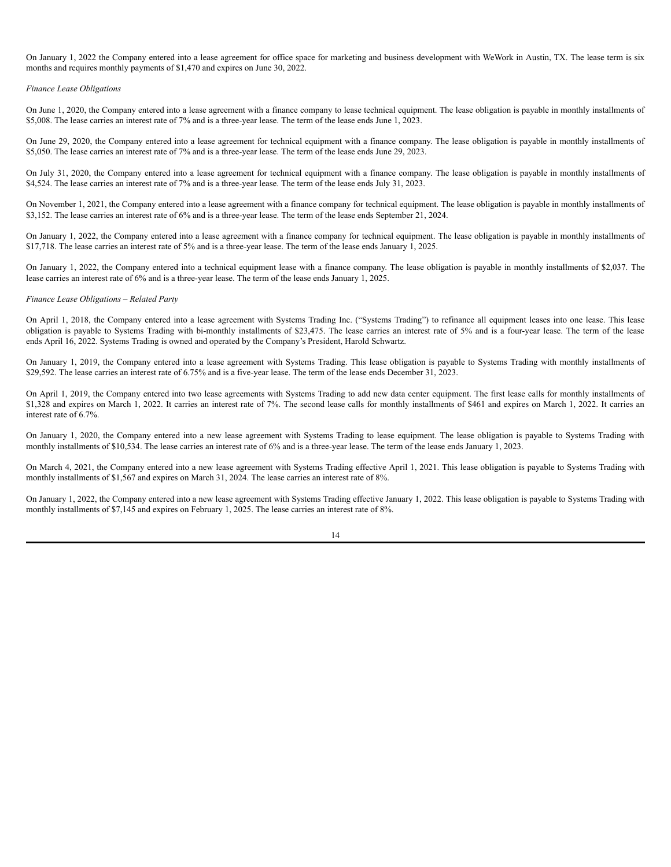On January 1, 2022 the Company entered into a lease agreement for office space for marketing and business development with WeWork in Austin, TX. The lease term is six months and requires monthly payments of \$1,470 and expires on June 30, 2022.

#### *Finance Lease Obligations*

On June 1, 2020, the Company entered into a lease agreement with a finance company to lease technical equipment. The lease obligation is payable in monthly installments of \$5,008. The lease carries an interest rate of 7% and is a three-year lease. The term of the lease ends June 1, 2023.

On June 29, 2020, the Company entered into a lease agreement for technical equipment with a finance company. The lease obligation is payable in monthly installments of \$5,050. The lease carries an interest rate of 7% and is a three-year lease. The term of the lease ends June 29, 2023.

On July 31, 2020, the Company entered into a lease agreement for technical equipment with a finance company. The lease obligation is payable in monthly installments of \$4,524. The lease carries an interest rate of 7% and is a three-year lease. The term of the lease ends July 31, 2023.

On November 1, 2021, the Company entered into a lease agreement with a finance company for technical equipment. The lease obligation is payable in monthly installments of \$3,152. The lease carries an interest rate of 6% and is a three-year lease. The term of the lease ends September 21, 2024.

On January 1, 2022, the Company entered into a lease agreement with a finance company for technical equipment. The lease obligation is payable in monthly installments of \$17,718. The lease carries an interest rate of 5% and is a three-year lease. The term of the lease ends January 1, 2025.

On January 1, 2022, the Company entered into a technical equipment lease with a finance company. The lease obligation is payable in monthly installments of \$2,037. The lease carries an interest rate of 6% and is a three-year lease. The term of the lease ends January 1, 2025.

#### *Finance Lease Obligations – Related Party*

On April 1, 2018, the Company entered into a lease agreement with Systems Trading Inc. ("Systems Trading") to refinance all equipment leases into one lease. This lease obligation is payable to Systems Trading with bi-monthly installments of \$23,475. The lease carries an interest rate of 5% and is a four-year lease. The term of the lease ends April 16, 2022. Systems Trading is owned and operated by the Company's President, Harold Schwartz.

On January 1, 2019, the Company entered into a lease agreement with Systems Trading. This lease obligation is payable to Systems Trading with monthly installments of \$29,592. The lease carries an interest rate of 6.75% and is a five-year lease. The term of the lease ends December 31, 2023.

On April 1, 2019, the Company entered into two lease agreements with Systems Trading to add new data center equipment. The first lease calls for monthly installments of \$1,328 and expires on March 1, 2022. It carries an interest rate of 7%. The second lease calls for monthly installments of \$461 and expires on March 1, 2022. It carries an interest rate of 6.7%.

On January 1, 2020, the Company entered into a new lease agreement with Systems Trading to lease equipment. The lease obligation is payable to Systems Trading with monthly installments of \$10,534. The lease carries an interest rate of 6% and is a three-year lease. The term of the lease ends January 1, 2023.

On March 4, 2021, the Company entered into a new lease agreement with Systems Trading effective April 1, 2021. This lease obligation is payable to Systems Trading with monthly installments of \$1,567 and expires on March 31, 2024. The lease carries an interest rate of 8%.

On January 1, 2022, the Company entered into a new lease agreement with Systems Trading effective January 1, 2022. This lease obligation is payable to Systems Trading with monthly installments of \$7,145 and expires on February 1, 2025. The lease carries an interest rate of 8%.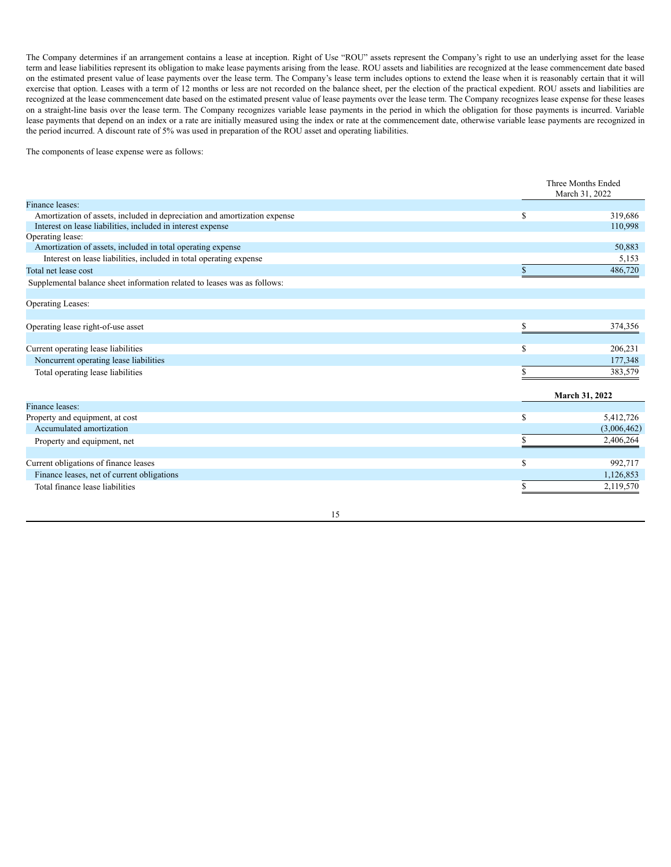The Company determines if an arrangement contains a lease at inception. Right of Use "ROU" assets represent the Company's right to use an underlying asset for the lease term and lease liabilities represent its obligation to make lease payments arising from the lease. ROU assets and liabilities are recognized at the lease commencement date based on the estimated present value of lease payments over the lease term. The Company's lease term includes options to extend the lease when it is reasonably certain that it will exercise that option. Leases with a term of 12 months or less are not recorded on the balance sheet, per the election of the practical expedient. ROU assets and liabilities are recognized at the lease commencement date based on the estimated present value of lease payments over the lease term. The Company recognizes lease expense for these leases on a straight-line basis over the lease term. The Company recognizes variable lease payments in the period in which the obligation for those payments is incurred. Variable lease payments that depend on an index or a rate are initially measured using the index or rate at the commencement date, otherwise variable lease payments are recognized in the period incurred. A discount rate of 5% was used in preparation of the ROU asset and operating liabilities.

The components of lease expense were as follows:

|                                                                           | Three Months Ended<br>March 31, 2022 |
|---------------------------------------------------------------------------|--------------------------------------|
| Finance leases:                                                           |                                      |
| Amortization of assets, included in depreciation and amortization expense | \$<br>319,686                        |
| Interest on lease liabilities, included in interest expense               | 110,998                              |
| Operating lease:                                                          |                                      |
| Amortization of assets, included in total operating expense               | 50,883                               |
| Interest on lease liabilities, included in total operating expense        | 5,153                                |
| Total net lease cost                                                      | 486,720                              |
| Supplemental balance sheet information related to leases was as follows:  |                                      |
|                                                                           |                                      |
| Operating Leases:                                                         |                                      |
|                                                                           |                                      |
| Operating lease right-of-use asset                                        | \$<br>374,356                        |
|                                                                           |                                      |
| Current operating lease liabilities                                       | \$<br>206,231                        |
| Noncurrent operating lease liabilities                                    | 177,348                              |
| Total operating lease liabilities                                         | 383,579                              |
|                                                                           |                                      |
|                                                                           | March 31, 2022                       |
| Finance leases:                                                           |                                      |
| Property and equipment, at cost                                           | \$<br>5,412,726                      |
| Accumulated amortization                                                  | (3,006,462)                          |
| Property and equipment, net                                               | 2,406,264                            |
|                                                                           |                                      |
| Current obligations of finance leases                                     | \$<br>992,717                        |
| Finance leases, net of current obligations                                | 1,126,853                            |
| Total finance lease liabilities                                           | 2,119,570                            |
|                                                                           |                                      |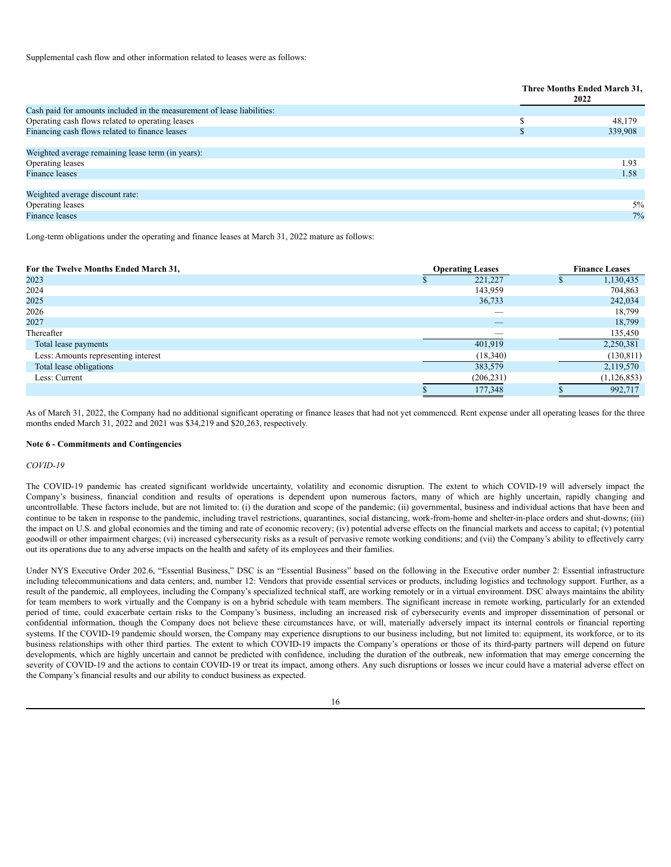Supplemental cash flow and other information related to leases were as follows:

|                                                                         | Three Months Ended March 31,<br>2022 |
|-------------------------------------------------------------------------|--------------------------------------|
| Cash paid for amounts included in the measurement of lease liabilities: |                                      |
| Operating cash flows related to operating leases                        | 48,179                               |
| Financing cash flows related to finance leases                          | 339,908                              |
|                                                                         |                                      |
| Weighted average remaining lease term (in years):                       |                                      |
| Operating leases                                                        | 1.93                                 |
| <b>Finance leases</b>                                                   | 1.58                                 |
|                                                                         |                                      |
| Weighted average discount rate:                                         |                                      |
| Operating leases                                                        | 5%                                   |
| <b>Finance leases</b>                                                   | 7%                                   |
|                                                                         |                                      |

Long-term obligations under the operating and finance leases at March 31, 2022 mature as follows:

| For the Twelve Months Ended March 31, | <b>Operating Leases</b> |  | <b>Finance Leases</b> |
|---------------------------------------|-------------------------|--|-----------------------|
| 2023                                  | 221,227                 |  | 1,130,435             |
| 2024                                  | 143,959                 |  | 704,863               |
| 2025                                  | 36,733                  |  | 242,034               |
| 2026                                  |                         |  | 18.799                |
| 2027                                  |                         |  | 18,799                |
| Thereafter                            |                         |  | 135,450               |
| Total lease payments                  | 401,919                 |  | 2,250,381             |
| Less: Amounts representing interest   | (18,340)                |  | (130, 811)            |
| Total lease obligations               | 383,579                 |  | 2,119,570             |
| Less: Current                         | (206, 231)              |  | (1, 126, 853)         |
|                                       | 177,348                 |  | 992.717               |

As of March 31, 2022, the Company had no additional significant operating or finance leases that had not yet commenced. Rent expense under all operating leases for the three months ended March 31, 2022 and 2021 was \$34,219 and \$20,263, respectively.

#### **Note 6 - Commitments and Contingencies**

#### *COVID-19*

The COVID-19 pandemic has created significant worldwide uncertainty, volatility and economic disruption. The extent to which COVID-19 will adversely impact the Company's business, financial condition and results of operations is dependent upon numerous factors, many of which are highly uncertain, rapidly changing and uncontrollable. These factors include, but are not limited to: (i) the duration and scope of the pandemic; (ii) governmental, business and individual actions that have been and continue to be taken in response to the pandemic, including travel restrictions, quarantines, social distancing, work-from-home and shelter-in-place orders and shut-downs; (iii) the impact on U.S. and global economies and the timing and rate of economic recovery; (iv) potential adverse effects on the financial markets and access to capital; (v) potential goodwill or other impairment charges; (vi) increased cybersecurity risks as a result of pervasive remote working conditions; and (vii) the Company's ability to effectively carry out its operations due to any adverse impacts on the health and safety of its employees and their families.

Under NYS Executive Order 202.6, "Essential Business," DSC is an "Essential Business" based on the following in the Executive order number 2: Essential infrastructure including telecommunications and data centers; and, number 12: Vendors that provide essential services or products, including logistics and technology support. Further, as a result of the pandemic, all employees, including the Company's specialized technical staff, are working remotely or in a virtual environment. DSC always maintains the ability for team members to work virtually and the Company is on a hybrid schedule with team members. The significant increase in remote working, particularly for an extended period of time, could exacerbate certain risks to the Company's business, including an increased risk of cybersecurity events and improper dissemination of personal or confidential information, though the Company does not believe these circumstances have, or will, materially adversely impact its internal controls or financial reporting systems. If the COVID-19 pandemic should worsen, the Company may experience disruptions to our business including, but not limited to: equipment, its workforce, or to its business relationships with other third parties. The extent to which COVID-19 impacts the Company's operations or those of its third-party partners will depend on future developments, which are highly uncertain and cannot be predicted with confidence, including the duration of the outbreak, new information that may emerge concerning the severity of COVID-19 and the actions to contain COVID-19 or treat its impact, among others. Any such disruptions or losses we incur could have a material adverse effect on the Company's financial results and our ability to conduct business as expected.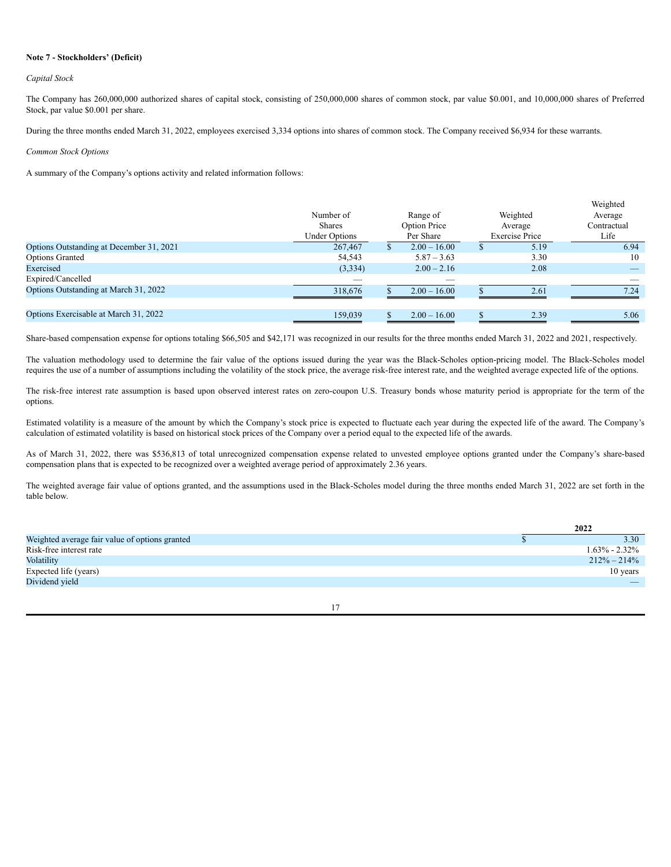#### **Note 7 - Stockholders' (Deficit)**

#### *Capital Stock*

The Company has 260,000,000 authorized shares of capital stock, consisting of 250,000,000 shares of common stock, par value \$0.001, and 10,000,000 shares of Preferred Stock, par value \$0.001 per share.

During the three months ended March 31, 2022, employees exercised 3,334 options into shares of common stock. The Company received \$6,934 for these warrants.

#### *Common Stock Options*

A summary of the Company's options activity and related information follows:

| Number of<br><b>Shares</b><br><b>Under Options</b>        | Range of<br><b>Option Price</b><br>Per Share | Weighted<br>Average<br><b>Exercise Price</b> | Weighted<br>Average<br>Contractual<br>Life |
|-----------------------------------------------------------|----------------------------------------------|----------------------------------------------|--------------------------------------------|
| 267.467<br>Options Outstanding at December 31, 2021<br>ъ. | $2.00 - 16.00$                               | 5.19                                         | 6.94                                       |
| 54,543<br><b>Options Granted</b>                          | $5.87 - 3.63$                                | 3.30                                         | 10                                         |
| Exercised<br>(3,334)                                      | $2.00 - 2.16$                                | 2.08                                         |                                            |
| Expired/Cancelled                                         |                                              |                                              |                                            |
| Options Outstanding at March 31, 2022<br>318,676          | $2.00 - 16.00$                               | 2.61                                         | 7.24                                       |
|                                                           |                                              |                                              |                                            |
| Options Exercisable at March 31, 2022<br>159,039          | $2.00 - 16.00$                               | 2.39                                         | 5.06                                       |

weighted and the

Share-based compensation expense for options totaling \$66,505 and \$42,171 was recognized in our results for the three months ended March 31, 2022 and 2021, respectively.

The valuation methodology used to determine the fair value of the options issued during the year was the Black-Scholes option-pricing model. The Black-Scholes model requires the use of a number of assumptions including the volatility of the stock price, the average risk-free interest rate, and the weighted average expected life of the options.

The risk-free interest rate assumption is based upon observed interest rates on zero-coupon U.S. Treasury bonds whose maturity period is appropriate for the term of the options.

Estimated volatility is a measure of the amount by which the Company's stock price is expected to fluctuate each year during the expected life of the award. The Company's calculation of estimated volatility is based on historical stock prices of the Company over a period equal to the expected life of the awards.

As of March 31, 2022, there was \$536,813 of total unrecognized compensation expense related to unvested employee options granted under the Company's share-based compensation plans that is expected to be recognized over a weighted average period of approximately 2.36 years.

The weighted average fair value of options granted, and the assumptions used in the Black-Scholes model during the three months ended March 31, 2022 are set forth in the table below.

|                                                | 2022              |
|------------------------------------------------|-------------------|
| Weighted average fair value of options granted | 3.30              |
| Risk-free interest rate                        | $1.63\% - 2.32\%$ |
| Volatility                                     | $212\% - 214\%$   |
| Expected life (years)                          | 10 years          |
| Dividend vield                                 |                   |
|                                                |                   |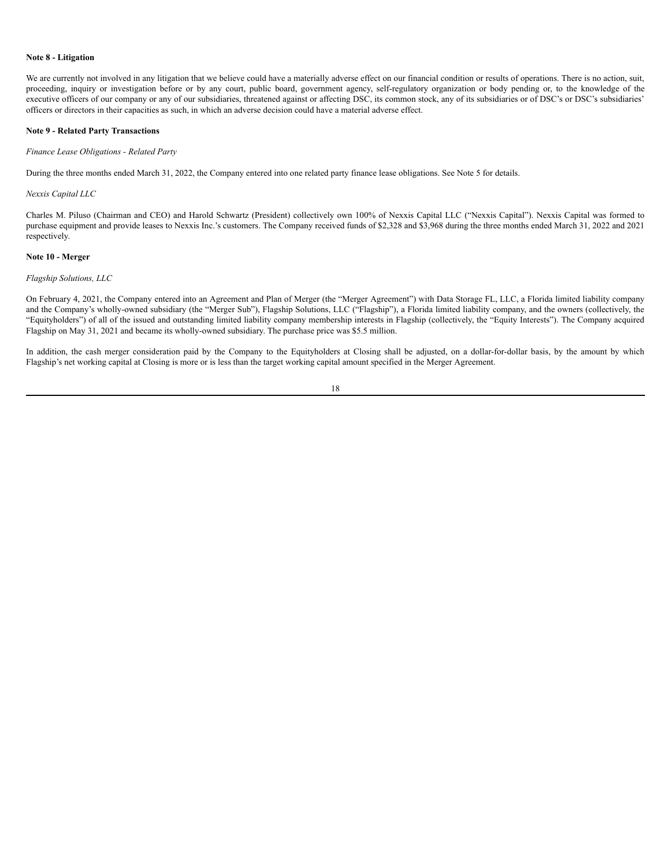#### **Note 8 - Litigation**

We are currently not involved in any litigation that we believe could have a materially adverse effect on our financial condition or results of operations. There is no action, suit, proceeding, inquiry or investigation before or by any court, public board, government agency, self-regulatory organization or body pending or, to the knowledge of the executive officers of our company or any of our subsidiaries, threatened against or affecting DSC, its common stock, any of its subsidiaries or of DSC's or DSC's subsidiaries' officers or directors in their capacities as such, in which an adverse decision could have a material adverse effect.

#### **Note 9 - Related Party Transactions**

#### *Finance Lease Obligations - Related Party*

During the three months ended March 31, 2022, the Company entered into one related party finance lease obligations. See Note 5 for details.

#### *Nexxis Capital LLC*

Charles M. Piluso (Chairman and CEO) and Harold Schwartz (President) collectively own 100% of Nexxis Capital LLC ("Nexxis Capital"). Nexxis Capital was formed to purchase equipment and provide leases to Nexxis Inc.'s customers. The Company received funds of \$2,328 and \$3,968 during the three months ended March 31, 2022 and 2021 respectively.

# **Note 10 - Merger**

#### *Flagship Solutions, LLC*

On February 4, 2021, the Company entered into an Agreement and Plan of Merger (the "Merger Agreement") with Data Storage FL, LLC, a Florida limited liability company and the Company's wholly-owned subsidiary (the "Merger Sub"), Flagship Solutions, LLC ("Flagship"), a Florida limited liability company, and the owners (collectively, the "Equityholders") of all of the issued and outstanding limited liability company membership interests in Flagship (collectively, the "Equity Interests"). The Company acquired Flagship on May 31, 2021 and became its wholly-owned subsidiary. The purchase price was \$5.5 million.

In addition, the cash merger consideration paid by the Company to the Equityholders at Closing shall be adjusted, on a dollar-for-dollar basis, by the amount by which Flagship's net working capital at Closing is more or is less than the target working capital amount specified in the Merger Agreement.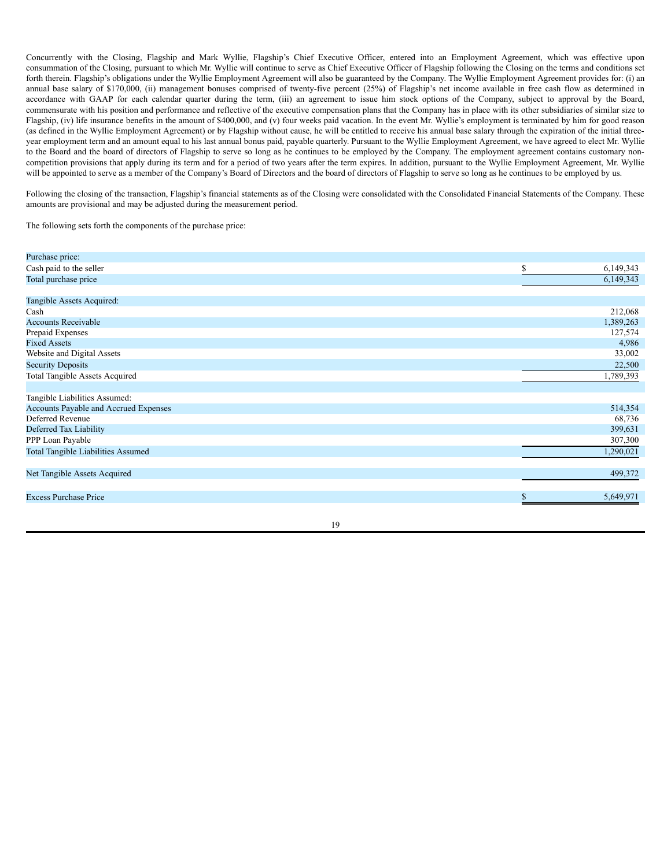Concurrently with the Closing, Flagship and Mark Wyllie, Flagship's Chief Executive Officer, entered into an Employment Agreement, which was effective upon consummation of the Closing, pursuant to which Mr. Wyllie will continue to serve as Chief Executive Officer of Flagship following the Closing on the terms and conditions set forth therein. Flagship's obligations under the Wyllie Employment Agreement will also be guaranteed by the Company. The Wyllie Employment Agreement provides for: (i) an annual base salary of \$170,000, (ii) management bonuses comprised of twenty-five percent (25%) of Flagship's net income available in free cash flow as determined in accordance with GAAP for each calendar quarter during the term, (iii) an agreement to issue him stock options of the Company, subject to approval by the Board, commensurate with his position and performance and reflective of the executive compensation plans that the Company has in place with its other subsidiaries of similar size to Flagship, (iv) life insurance benefits in the amount of \$400,000, and (v) four weeks paid vacation. In the event Mr. Wyllie's employment is terminated by him for good reason (as defined in the Wyllie Employment Agreement) or by Flagship without cause, he will be entitled to receive his annual base salary through the expiration of the initial threeyear employment term and an amount equal to his last annual bonus paid, payable quarterly. Pursuant to the Wyllie Employment Agreement, we have agreed to elect Mr. Wyllie to the Board and the board of directors of Flagship to serve so long as he continues to be employed by the Company. The employment agreement contains customary noncompetition provisions that apply during its term and for a period of two years after the term expires. In addition, pursuant to the Wyllie Employment Agreement, Mr. Wyllie will be appointed to serve as a member of the Company's Board of Directors and the board of directors of Flagship to serve so long as he continues to be employed by us.

Following the closing of the transaction, Flagship's financial statements as of the Closing were consolidated with the Consolidated Financial Statements of the Company. These amounts are provisional and may be adjusted during the measurement period.

The following sets forth the components of the purchase price:

| Cash paid to the seller<br>\$<br>6,149,343<br>6,149,343<br>Tangible Assets Acquired:<br>212,068<br><b>Accounts Receivable</b><br>1,389,263<br>127,574<br><b>Fixed Assets</b><br>4,986<br>Website and Digital Assets<br>33,002<br>22,500<br>Total Tangible Assets Acquired<br>1,789,393<br>Tangible Liabilities Assumed:<br>Accounts Payable and Accrued Expenses<br>514,354<br>Deferred Revenue<br>68,736<br>399,631<br>307,300<br><b>Total Tangible Liabilities Assumed</b><br>1,290,021<br>499,372<br>S<br>5,649,971<br><b>Excess Purchase Price</b> | Purchase price:              |  |
|--------------------------------------------------------------------------------------------------------------------------------------------------------------------------------------------------------------------------------------------------------------------------------------------------------------------------------------------------------------------------------------------------------------------------------------------------------------------------------------------------------------------------------------------------------|------------------------------|--|
|                                                                                                                                                                                                                                                                                                                                                                                                                                                                                                                                                        |                              |  |
|                                                                                                                                                                                                                                                                                                                                                                                                                                                                                                                                                        | Total purchase price         |  |
|                                                                                                                                                                                                                                                                                                                                                                                                                                                                                                                                                        |                              |  |
|                                                                                                                                                                                                                                                                                                                                                                                                                                                                                                                                                        |                              |  |
|                                                                                                                                                                                                                                                                                                                                                                                                                                                                                                                                                        | Cash                         |  |
|                                                                                                                                                                                                                                                                                                                                                                                                                                                                                                                                                        |                              |  |
|                                                                                                                                                                                                                                                                                                                                                                                                                                                                                                                                                        | Prepaid Expenses             |  |
|                                                                                                                                                                                                                                                                                                                                                                                                                                                                                                                                                        |                              |  |
|                                                                                                                                                                                                                                                                                                                                                                                                                                                                                                                                                        |                              |  |
|                                                                                                                                                                                                                                                                                                                                                                                                                                                                                                                                                        | <b>Security Deposits</b>     |  |
|                                                                                                                                                                                                                                                                                                                                                                                                                                                                                                                                                        |                              |  |
|                                                                                                                                                                                                                                                                                                                                                                                                                                                                                                                                                        |                              |  |
|                                                                                                                                                                                                                                                                                                                                                                                                                                                                                                                                                        |                              |  |
|                                                                                                                                                                                                                                                                                                                                                                                                                                                                                                                                                        |                              |  |
|                                                                                                                                                                                                                                                                                                                                                                                                                                                                                                                                                        |                              |  |
|                                                                                                                                                                                                                                                                                                                                                                                                                                                                                                                                                        | Deferred Tax Liability       |  |
|                                                                                                                                                                                                                                                                                                                                                                                                                                                                                                                                                        | PPP Loan Payable             |  |
|                                                                                                                                                                                                                                                                                                                                                                                                                                                                                                                                                        |                              |  |
|                                                                                                                                                                                                                                                                                                                                                                                                                                                                                                                                                        |                              |  |
|                                                                                                                                                                                                                                                                                                                                                                                                                                                                                                                                                        | Net Tangible Assets Acquired |  |
|                                                                                                                                                                                                                                                                                                                                                                                                                                                                                                                                                        |                              |  |
|                                                                                                                                                                                                                                                                                                                                                                                                                                                                                                                                                        |                              |  |
|                                                                                                                                                                                                                                                                                                                                                                                                                                                                                                                                                        |                              |  |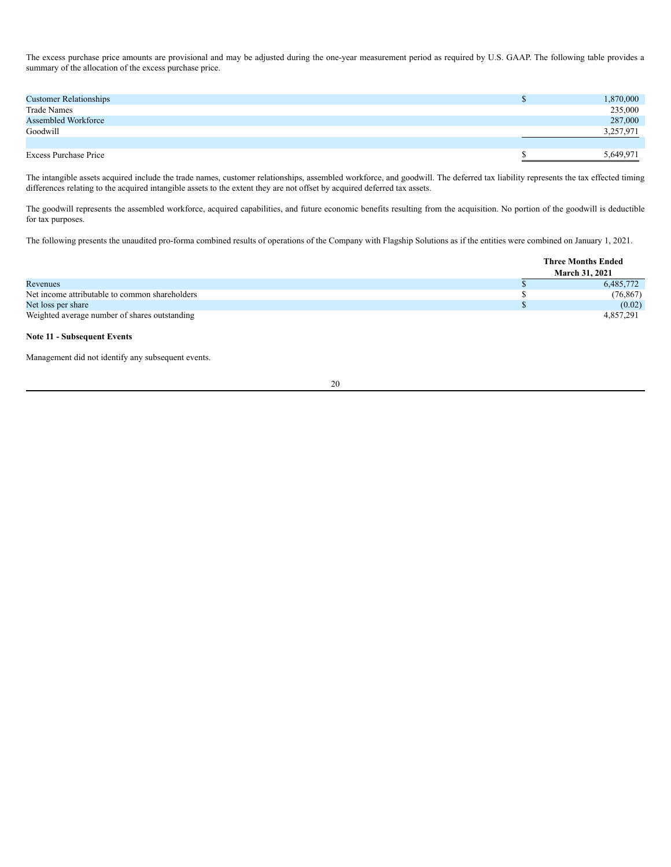The excess purchase price amounts are provisional and may be adjusted during the one-year measurement period as required by U.S. GAAP. The following table provides a summary of the allocation of the excess purchase price.

| <b>Customer Relationships</b> | 1,870,000 |
|-------------------------------|-----------|
| <b>Trade Names</b>            | 235,000   |
| Assembled Workforce           | 287,000   |
| Goodwill                      | 3,257,971 |
|                               |           |
| <b>Excess Purchase Price</b>  | 5,649,971 |

The intangible assets acquired include the trade names, customer relationships, assembled workforce, and goodwill. The deferred tax liability represents the tax effected timing differences relating to the acquired intangible assets to the extent they are not offset by acquired deferred tax assets.

The goodwill represents the assembled workforce, acquired capabilities, and future economic benefits resulting from the acquisition. No portion of the goodwill is deductible for tax purposes.

The following presents the unaudited pro-forma combined results of operations of the Company with Flagship Solutions as if the entities were combined on January 1, 2021.

|                                                | <b>Three Months Ended</b><br><b>March 31, 2021</b> |
|------------------------------------------------|----------------------------------------------------|
| Revenues                                       | 6,485,772                                          |
| Net income attributable to common shareholders | (76, 867)                                          |
| Net loss per share                             | (0.02)                                             |
| Weighted average number of shares outstanding  | 4,857,291                                          |

# **Note 11 - Subsequent Events**

Management did not identify any subsequent events.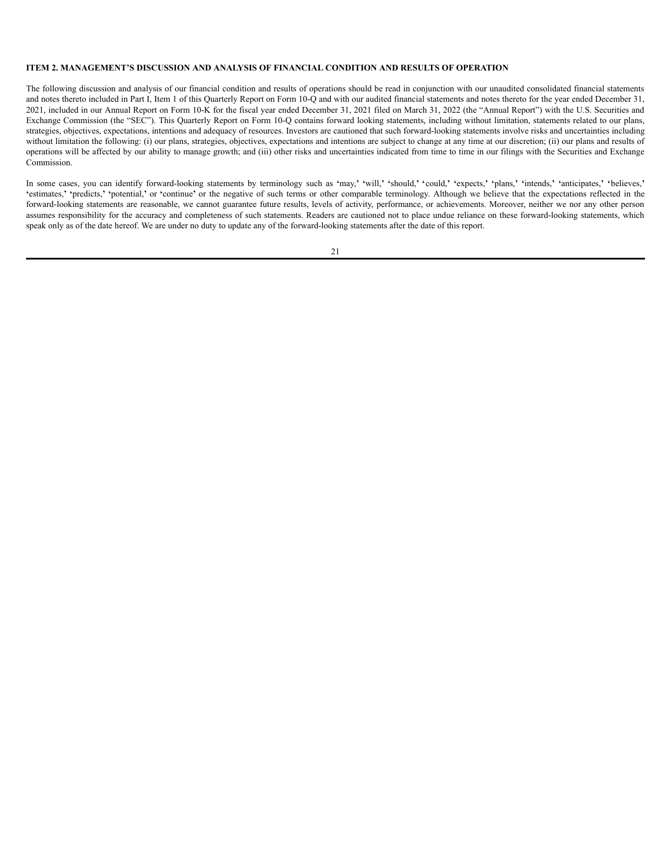# <span id="page-23-0"></span>**ITEM 2. MANAGEMENT'S DISCUSSION AND ANALYSIS OF FINANCIAL CONDITION AND RESULTS OF OPERATION**

The following discussion and analysis of our financial condition and results of operations should be read in conjunction with our unaudited consolidated financial statements and notes thereto included in Part I, Item 1 of this Quarterly Report on Form 10-Q and with our audited financial statements and notes thereto for the year ended December 31, 2021, included in our Annual Report on Form 10-K for the fiscal year ended December 31, 2021 filed on March 31, 2022 (the "Annual Report") with the U.S. Securities and Exchange Commission (the "SEC"). This Quarterly Report on Form 10-Q contains forward looking statements, including without limitation, statements related to our plans, strategies, objectives, expectations, intentions and adequacy of resources. Investors are cautioned that such forward-looking statements involve risks and uncertainties including without limitation the following: (i) our plans, strategies, objectives, expectations and intentions are subject to change at any time at our discretion; (ii) our plans and results of operations will be affected by our ability to manage growth; and (iii) other risks and uncertainties indicated from time to time in our filings with the Securities and Exchange Commission.

In some cases, you can identify forward-looking statements by terminology such as 'may,' 'will,' 'should,' 'could,' 'expects,' 'plans,' 'intends,' 'anticipates,' 'believes,' 'estimates,' 'predicts,' 'potential,' or 'continue' or the negative of such terms or other comparable terminology. Although we believe that the expectations reflected in the forward-looking statements are reasonable, we cannot guarantee future results, levels of activity, performance, or achievements. Moreover, neither we nor any other person assumes responsibility for the accuracy and completeness of such statements. Readers are cautioned not to place undue reliance on these forward-looking statements, which speak only as of the date hereof. We are under no duty to update any of the forward-looking statements after the date of this report.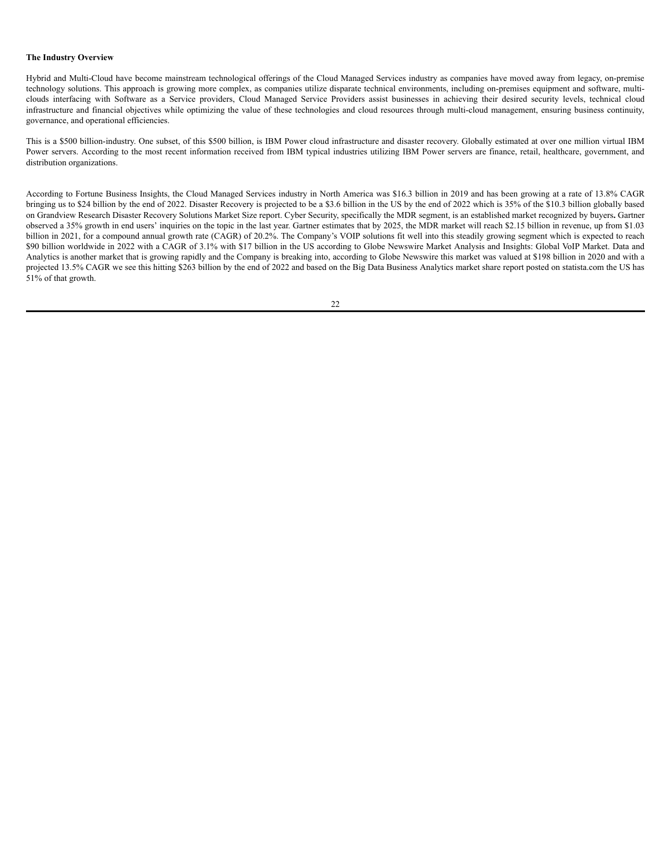#### **The Industry Overview**

Hybrid and Multi-Cloud have become mainstream technological offerings of the Cloud Managed Services industry as companies have moved away from legacy, on-premise technology solutions. This approach is growing more complex, as companies utilize disparate technical environments, including on-premises equipment and software, multiclouds interfacing with Software as a Service providers, Cloud Managed Service Providers assist businesses in achieving their desired security levels, technical cloud infrastructure and financial objectives while optimizing the value of these technologies and cloud resources through multi-cloud management, ensuring business continuity, governance, and operational efficiencies.

This is a \$500 billion-industry. One subset, of this \$500 billion, is IBM Power cloud infrastructure and disaster recovery. Globally estimated at over one million virtual IBM Power servers. According to the most recent information received from IBM typical industries utilizing IBM Power servers are finance, retail, healthcare, government, and distribution organizations.

According to Fortune Business Insights, the Cloud Managed Services industry in North America was \$16.3 billion in 2019 and has been growing at a rate of 13.8% CAGR bringing us to \$24 billion by the end of 2022. Disaster Recovery is projected to be a \$3.6 billion in the US by the end of 2022 which is 35% of the \$10.3 billion globally based on Grandview Research Disaster Recovery Solutions Market Size report. Cyber Security, specifically the MDR segment, is an established market recognized by buyers**.** Gartner observed a 35% growth in end users' inquiries on the topic in the last year. Gartner estimates that by 2025, the MDR market will reach \$2.15 billion in revenue, up from \$1.03 billion in 2021, for a compound annual growth rate (CAGR) of 20.2%. The Company's VOIP solutions fit well into this steadily growing segment which is expected to reach \$90 billion worldwide in 2022 with a CAGR of 3.1% with \$17 billion in the US according to Globe Newswire Market Analysis and Insights: Global VoIP Market. Data and Analytics is another market that is growing rapidly and the Company is breaking into, according to Globe Newswire this market was valued at \$198 billion in 2020 and with a projected 13.5% CAGR we see this hitting \$263 billion by the end of 2022 and based on the Big Data Business Analytics market share report posted on statista.com the US has 51% of that growth.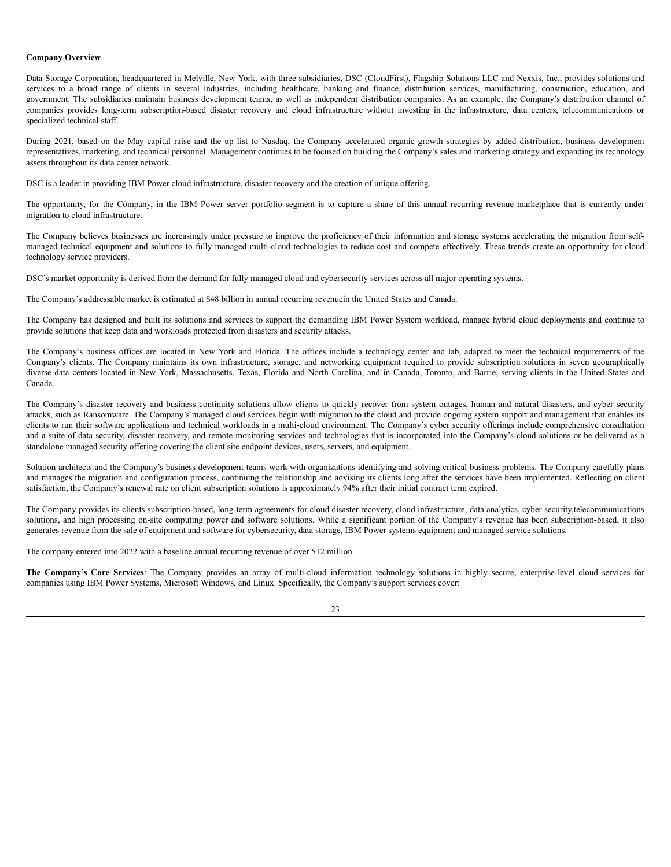#### **Company Overview**

Data Storage Corporation, headquartered in Melville, New York, with three subsidiaries, DSC (CloudFirst), Flagship Solutions LLC and Nexxis, Inc., provides solutions and services to a broad range of clients in several industries, including healthcare, banking and finance, distribution services, manufacturing, construction, education, and government. The subsidiaries maintain business development teams, as well as independent distribution companies. As an example, the Company's distribution channel of companies provides long-term subscription-based disaster recovery and cloud infrastructure without investing in the infrastructure, data centers, telecommunications or specialized technical staff.

During 2021, based on the May capital raise and the up list to Nasdaq, the Company accelerated organic growth strategies by added distribution, business development representatives, marketing, and technical personnel. Management continues to be focused on building the Company's sales and marketing strategy and expanding its technology assets throughout its data center network.

DSC is a leader in providing IBM Power cloud infrastructure, disaster recovery and the creation of unique offering.

The opportunity, for the Company, in the IBM Power server portfolio segment is to capture a share of this annual recurring revenue marketplace that is currently under migration to cloud infrastructure.

The Company believes businesses are increasingly under pressure to improve the proficiency of their information and storage systems accelerating the migration from selfmanaged technical equipment and solutions to fully managed multi-cloud technologies to reduce cost and compete effectively. These trends create an opportunity for cloud technology service providers.

DSC's market opportunity is derived from the demand for fully managed cloud and cybersecurity services across all major operating systems.

The Company's addressable market is estimated at \$48 billion in annual recurring revenuein the United States and Canada.

The Company has designed and built its solutions and services to support the demanding IBM Power System workload, manage hybrid cloud deployments and continue to provide solutions that keep data and workloads protected from disasters and security attacks.

The Company's business offices are located in New York and Florida. The offices include a technology center and lab, adapted to meet the technical requirements of the Company's clients. The Company maintains its own infrastructure, storage, and networking equipment required to provide subscription solutions in seven geographically diverse data centers located in New York, Massachusetts, Texas, Florida and North Carolina, and in Canada, Toronto, and Barrie, serving clients in the United States and Canada.

The Company's disaster recovery and business continuity solutions allow clients to quickly recover from system outages, human and natural disasters, and cyber security attacks, such as Ransomware. The Company's managed cloud services begin with migration to the cloud and provide ongoing system support and management that enables its clients to run their software applications and technical workloads in a multi-cloud environment. The Company's cyber security offerings include comprehensive consultation and a suite of data security, disaster recovery, and remote monitoring services and technologies that is incorporated into the Company's cloud solutions or be delivered as a standalone managed security offering covering the client site endpoint devices, users, servers, and equipment.

Solution architects and the Company's business development teams work with organizations identifying and solving critical business problems. The Company carefully plans and manages the migration and configuration process, continuing the relationship and advising its clients long after the services have been implemented. Reflecting on client satisfaction, the Company's renewal rate on client subscription solutions is approximately 94% after their initial contract term expired.

The Company provides its clients subscription-based, long-term agreements for cloud disaster recovery, cloud infrastructure, data analytics, cyber security,telecommunications solutions, and high processing on-site computing power and software solutions. While a significant portion of the Company's revenue has been subscription-based, it also generates revenue from the sale of equipment and software for cybersecurity, data storage, IBM Power systems equipment and managed service solutions.

The company entered into 2022 with a baseline annual recurring revenue of over \$12 million.

**The Company's Core Services**: The Company provides an array of multi-cloud information technology solutions in highly secure, enterprise-level cloud services for companies using IBM Power Systems, Microsoft Windows, and Linux. Specifically, the Company's support services cover:

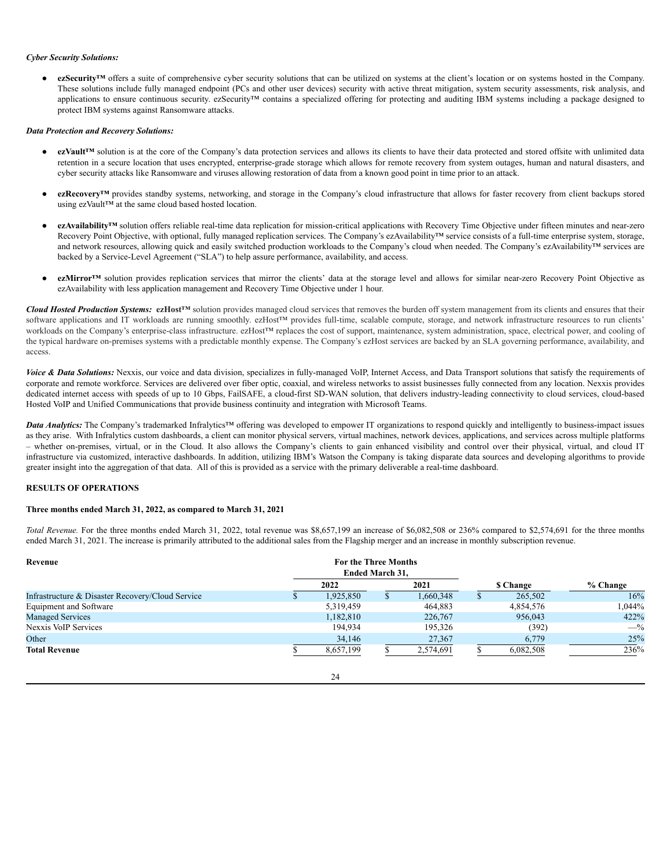#### *Cyber Security Solutions:*

**ezSecurity<sup>™</sup>** offers a suite of comprehensive cyber security solutions that can be utilized on systems at the client's location or on systems hosted in the Company. These solutions include fully managed endpoint (PCs and other user devices) security with active threat mitigation, system security assessments, risk analysis, and applications to ensure continuous security. ezSecurity™ contains a specialized offering for protecting and auditing IBM systems including a package designed to protect IBM systems against Ransomware attacks.

#### *Data Protection and Recovery Solutions:*

- **ezVault<sup>™</sup>** solution is at the core of the Company's data protection services and allows its clients to have their data protected and stored offsite with unlimited data retention in a secure location that uses encrypted, enterprise-grade storage which allows for remote recovery from system outages, human and natural disasters, and cyber security attacks like Ransomware and viruses allowing restoration of data from a known good point in time prior to an attack.
- ezRecovery<sup>™</sup> provides standby systems, networking, and storage in the Company's cloud infrastructure that allows for faster recovery from client backups stored using ezVault™ at the same cloud based hosted location.
- **ezAvailability™** solution offers reliable real-time data replication for mission-critical applications with Recovery Time Objective under fifteen minutes and near-zero Recovery Point Objective, with optional, fully managed replication services. The Company's ezAvailability™ service consists of a full-time enterprise system, storage, and network resources, allowing quick and easily switched production workloads to the Company's cloud when needed. The Company's ezAvailability™ services are backed by a Service-Level Agreement ("SLA") to help assure performance, availability, and access.
- **ezMirror™** solution provides replication services that mirror the clients' data at the storage level and allows for similar near-zero Recovery Point Objective as ezAvailability with less application management and Recovery Time Objective under 1 hour.

*Cloud Hosted Production Systems:* **ezHost™** solution provides managed cloud services that removes the burden off system management from its clients and ensures that their software applications and IT workloads are running smoothly. ezHost™ provides full-time, scalable compute, storage, and network infrastructure resources to run clients' workloads on the Company's enterprise-class infrastructure. ezHost™ replaces the cost of support, maintenance, system administration, space, electrical power, and cooling of the typical hardware on-premises systems with a predictable monthly expense. The Company's ezHost services are backed by an SLA governing performance, availability, and access.

Voice & Data Solutions: Nexxis, our voice and data division, specializes in fully-managed VoIP, Internet Access, and Data Transport solutions that satisfy the requirements of corporate and remote workforce. Services are delivered over fiber optic, coaxial, and wireless networks to assist businesses fully connected from any location. Nexxis provides dedicated internet access with speeds of up to 10 Gbps, FailSAFE, a cloud-first SD-WAN solution, that delivers industry-leading connectivity to cloud services, cloud-based Hosted VoIP and Unified Communications that provide business continuity and integration with Microsoft Teams.

*Data Analytics:* The Company's trademarked Infralytics™ offering was developed to empower IT organizations to respond quickly and intelligently to business-impact issues as they arise. With Infralytics custom dashboards, a client can monitor physical servers, virtual machines, network devices, applications, and services across multiple platforms – whether on-premises, virtual, or in the Cloud. It also allows the Company's clients to gain enhanced visibility and control over their physical, virtual, and cloud IT infrastructure via customized, interactive dashboards. In addition, utilizing IBM's Watson the Company is taking disparate data sources and developing algorithms to provide greater insight into the aggregation of that data. All of this is provided as a service with the primary deliverable a real-time dashboard.

#### **RESULTS OF OPERATIONS**

#### **Three months ended March 31, 2022, as compared to March 31, 2021**

*Total Revenue.* For the three months ended March 31, 2022, total revenue was \$8,657,199 an increase of \$6,082,508 or 236% compared to \$2,574,691 for the three months ended March 31, 2021. The increase is primarily attributed to the additional sales from the Flagship merger and an increase in monthly subscription revenue.

| Revenue                                          | <b>For the Three Months</b> |                 |           |                 |          |
|--------------------------------------------------|-----------------------------|-----------------|-----------|-----------------|----------|
|                                                  |                             | Ended March 31, |           |                 |          |
|                                                  | 2022                        |                 | 2021      | <b>S</b> Change | % Change |
| Infrastructure & Disaster Recovery/Cloud Service | 1,925,850                   |                 | 1,660,348 | 265,502         | 16%      |
| Equipment and Software                           | 5,319,459                   |                 | 464,883   | 4,854,576       | 1,044%   |
| <b>Managed Services</b>                          | 1,182,810                   |                 | 226,767   | 956.043         | 422%     |
| Nexxis VoIP Services                             | 194.934                     |                 | 195,326   | (392)           | $-$ %    |
| Other                                            | 34,146                      |                 | 27,367    | 6,779           | 25%      |
| <b>Total Revenue</b>                             | 8,657,199                   |                 | 2,574,691 | 6,082,508       | 236%     |

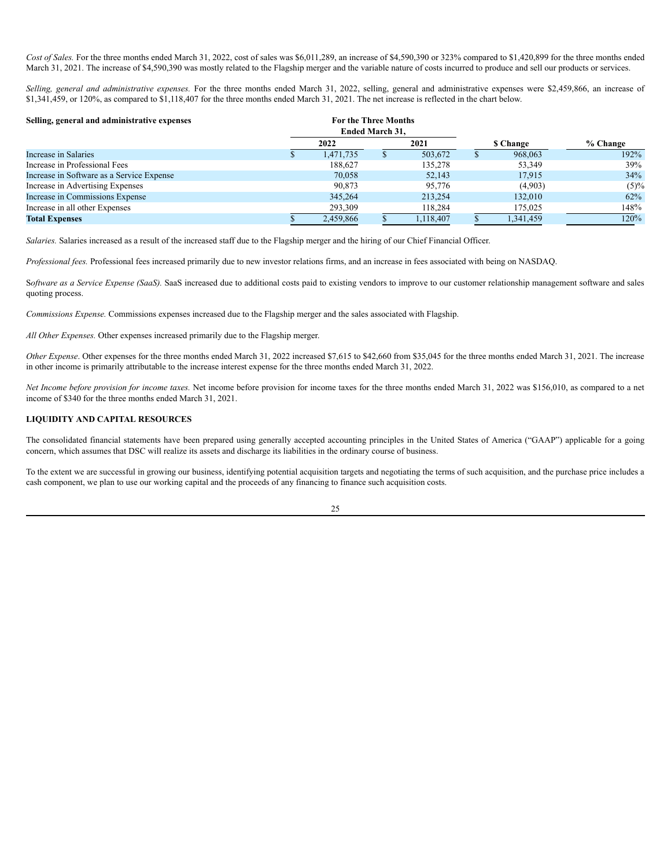Cost of Sales. For the three months ended March 31, 2022, cost of sales was \$6,011,289, an increase of \$4,590,390 or 323% compared to \$1,420,899 for the three months ended March 31, 2021. The increase of \$4,590,390 was mostly related to the Flagship merger and the variable nature of costs incurred to produce and sell our products or services.

*Selling, general and administrative expenses.* For the three months ended March 31, 2022, selling, general and administrative expenses were \$2,459,866, an increase of \$1,341,459, or 120%, as compared to \$1,118,407 for the three months ended March 31, 2021. The net increase is reflected in the chart below.

| Selling, general and administrative expenses | <b>For the Three Months</b><br><b>Ended March 31,</b> |           |  |           |                 |           |          |
|----------------------------------------------|-------------------------------------------------------|-----------|--|-----------|-----------------|-----------|----------|
|                                              |                                                       |           |  |           |                 |           |          |
|                                              |                                                       | 2022      |  | 2021      | <b>S</b> Change |           | % Change |
| Increase in Salaries                         |                                                       | 1.471.735 |  | 503,672   |                 | 968,063   | 192%     |
| Increase in Professional Fees                |                                                       | 188.627   |  | 135,278   |                 | 53,349    | 39%      |
| Increase in Software as a Service Expense    |                                                       | 70.058    |  | 52,143    |                 | 17.915    | 34%      |
| Increase in Advertising Expenses             |                                                       | 90.873    |  | 95.776    |                 | (4.903)   | $(5)\%$  |
| Increase in Commissions Expense              |                                                       | 345,264   |  | 213,254   |                 | 132,010   | 62%      |
| Increase in all other Expenses               |                                                       | 293,309   |  | 118,284   |                 | 175,025   | 148%     |
| <b>Total Expenses</b>                        |                                                       | 2.459.866 |  | 1.118.407 |                 | 1.341.459 | 120%     |

*Salaries.* Salaries increased as a result of the increased staff due to the Flagship merger and the hiring of our Chief Financial Officer.

*Professional fees.* Professional fees increased primarily due to new investor relations firms, and an increase in fees associated with being on NASDAQ.

S*oftware as a Service Expense (SaaS).* SaaS increased due to additional costs paid to existing vendors to improve to our customer relationship management software and sales quoting process.

*Commissions Expense.* Commissions expenses increased due to the Flagship merger and the sales associated with Flagship.

*All Other Expenses.* Other expenses increased primarily due to the Flagship merger.

*Other Expense*. Other expenses for the three months ended March 31, 2022 increased \$7,615 to \$42,660 from \$35,045 for the three months ended March 31, 2021. The increase in other income is primarily attributable to the increase interest expense for the three months ended March 31, 2022.

*Net Income before provision for income taxes.* Net income before provision for income taxes for the three months ended March 31, 2022 was \$156,010, as compared to a net income of \$340 for the three months ended March 31, 2021.

#### **LIQUIDITY AND CAPITAL RESOURCES**

The consolidated financial statements have been prepared using generally accepted accounting principles in the United States of America ("GAAP") applicable for a going concern, which assumes that DSC will realize its assets and discharge its liabilities in the ordinary course of business.

To the extent we are successful in growing our business, identifying potential acquisition targets and negotiating the terms of such acquisition, and the purchase price includes a cash component, we plan to use our working capital and the proceeds of any financing to finance such acquisition costs.

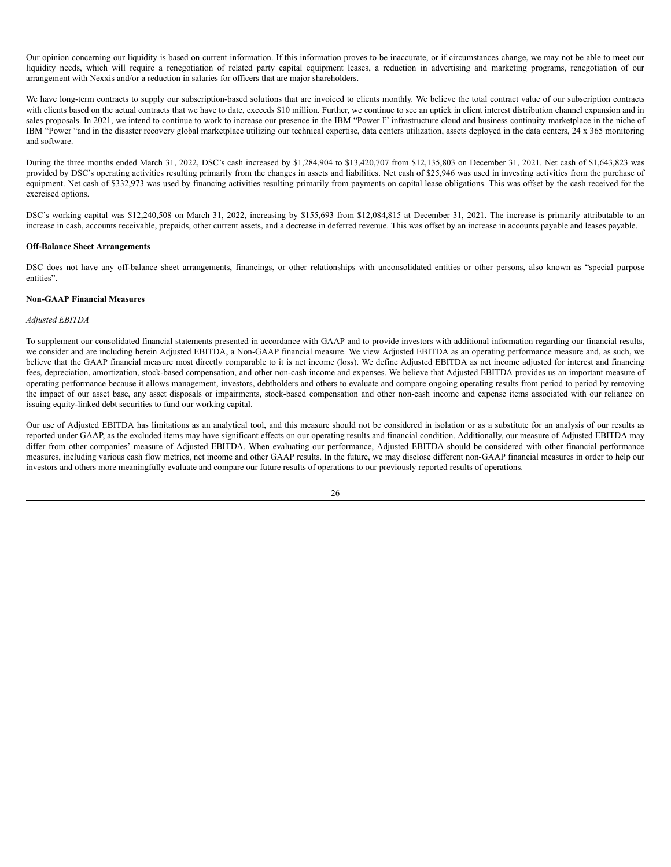Our opinion concerning our liquidity is based on current information. If this information proves to be inaccurate, or if circumstances change, we may not be able to meet our liquidity needs, which will require a renegotiation of related party capital equipment leases, a reduction in advertising and marketing programs, renegotiation of our arrangement with Nexxis and/or a reduction in salaries for officers that are major shareholders.

We have long-term contracts to supply our subscription-based solutions that are invoiced to clients monthly. We believe the total contract value of our subscription contracts with clients based on the actual contracts that we have to date, exceeds \$10 million. Further, we continue to see an uptick in client interest distribution channel expansion and in sales proposals. In 2021, we intend to continue to work to increase our presence in the IBM "Power I" infrastructure cloud and business continuity marketplace in the niche of IBM "Power "and in the disaster recovery global marketplace utilizing our technical expertise, data centers utilization, assets deployed in the data centers, 24 x 365 monitoring and software.

During the three months ended March 31, 2022, DSC's cash increased by \$1,284,904 to \$13,420,707 from \$12,135,803 on December 31, 2021. Net cash of \$1,643,823 was provided by DSC's operating activities resulting primarily from the changes in assets and liabilities. Net cash of \$25,946 was used in investing activities from the purchase of equipment. Net cash of \$332,973 was used by financing activities resulting primarily from payments on capital lease obligations. This was offset by the cash received for the exercised options.

DSC's working capital was \$12,240,508 on March 31, 2022, increasing by \$155,693 from \$12,084,815 at December 31, 2021. The increase is primarily attributable to an increase in cash, accounts receivable, prepaids, other current assets, and a decrease in deferred revenue. This was offset by an increase in accounts payable and leases payable.

#### **Off-Balance Sheet Arrangements**

DSC does not have any off-balance sheet arrangements, financings, or other relationships with unconsolidated entities or other persons, also known as "special purpose entities".

#### **Non-GAAP Financial Measures**

#### *Adjusted EBITDA*

To supplement our consolidated financial statements presented in accordance with GAAP and to provide investors with additional information regarding our financial results, we consider and are including herein Adjusted EBITDA, a Non-GAAP financial measure. We view Adjusted EBITDA as an operating performance measure and, as such, we believe that the GAAP financial measure most directly comparable to it is net income (loss). We define Adjusted EBITDA as net income adjusted for interest and financing fees, depreciation, amortization, stock-based compensation, and other non-cash income and expenses. We believe that Adjusted EBITDA provides us an important measure of operating performance because it allows management, investors, debtholders and others to evaluate and compare ongoing operating results from period to period by removing the impact of our asset base, any asset disposals or impairments, stock-based compensation and other non-cash income and expense items associated with our reliance on issuing equity-linked debt securities to fund our working capital.

Our use of Adjusted EBITDA has limitations as an analytical tool, and this measure should not be considered in isolation or as a substitute for an analysis of our results as reported under GAAP, as the excluded items may have significant effects on our operating results and financial condition. Additionally, our measure of Adjusted EBITDA may differ from other companies' measure of Adjusted EBITDA. When evaluating our performance, Adjusted EBITDA should be considered with other financial performance measures, including various cash flow metrics, net income and other GAAP results. In the future, we may disclose different non-GAAP financial measures in order to help our investors and others more meaningfully evaluate and compare our future results of operations to our previously reported results of operations.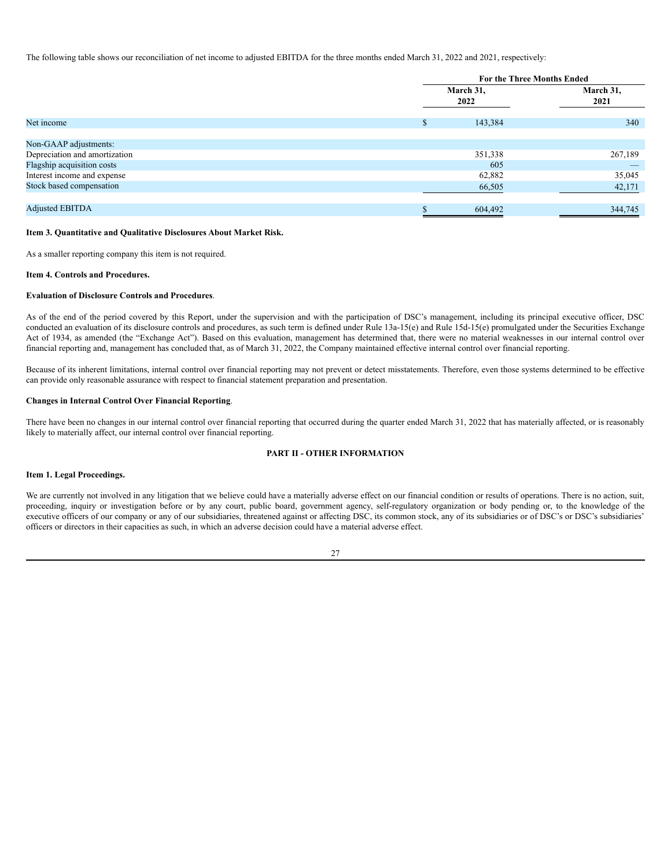The following table shows our reconciliation of net income to adjusted EBITDA for the three months ended March 31, 2022 and 2021, respectively:

|                               |     | <b>For the Three Months Ended</b> |                   |  |  |
|-------------------------------|-----|-----------------------------------|-------------------|--|--|
|                               |     | March 31,<br>2022                 | March 31,<br>2021 |  |  |
| Net income                    | Ъ.  | 143,384                           | 340               |  |  |
| Non-GAAP adjustments:         |     |                                   |                   |  |  |
| Depreciation and amortization |     | 351,338                           | 267,189           |  |  |
| Flagship acquisition costs    |     | 605                               |                   |  |  |
| Interest income and expense   |     | 62,882                            | 35,045            |  |  |
| Stock based compensation      |     | 66,505                            | 42,171            |  |  |
| <b>Adjusted EBITDA</b>        | - D | 604,492                           | 344,745           |  |  |

#### <span id="page-29-0"></span>**Item 3. Quantitative and Qualitative Disclosures About Market Risk.**

As a smaller reporting company this item is not required.

#### <span id="page-29-1"></span>**Item 4. Controls and Procedures.**

# **Evaluation of Disclosure Controls and Procedures**.

As of the end of the period covered by this Report, under the supervision and with the participation of DSC's management, including its principal executive officer, DSC conducted an evaluation of its disclosure controls and procedures, as such term is defined under Rule 13a-15(e) and Rule 15d-15(e) promulgated under the Securities Exchange Act of 1934, as amended (the "Exchange Act"). Based on this evaluation, management has determined that, there were no material weaknesses in our internal control over financial reporting and, management has concluded that, as of March 31, 2022, the Company maintained effective internal control over financial reporting.

Because of its inherent limitations, internal control over financial reporting may not prevent or detect misstatements. Therefore, even those systems determined to be effective can provide only reasonable assurance with respect to financial statement preparation and presentation.

#### **Changes in Internal Control Over Financial Reporting**.

There have been no changes in our internal control over financial reporting that occurred during the quarter ended March 31, 2022 that has materially affected, or is reasonably likely to materially affect, our internal control over financial reporting.

# **PART II - OTHER INFORMATION**

### <span id="page-29-3"></span><span id="page-29-2"></span>**Item 1. Legal Proceedings.**

We are currently not involved in any litigation that we believe could have a materially adverse effect on our financial condition or results of operations. There is no action, suit, proceeding, inquiry or investigation before or by any court, public board, government agency, self-regulatory organization or body pending or, to the knowledge of the executive officers of our company or any of our subsidiaries, threatened against or affecting DSC, its common stock, any of its subsidiaries or of DSC's or DSC's subsidiaries' officers or directors in their capacities as such, in which an adverse decision could have a material adverse effect.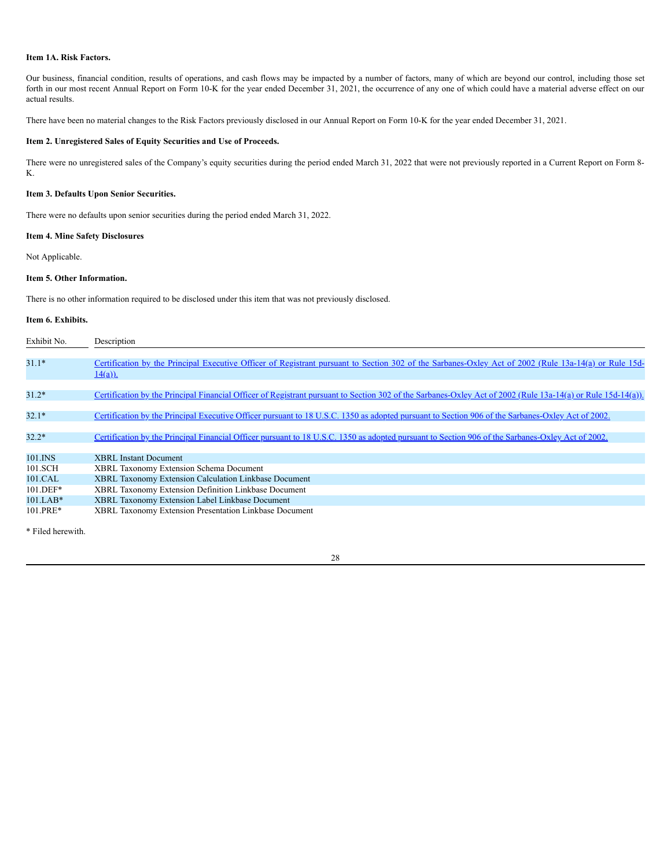#### <span id="page-30-0"></span>**Item 1A. Risk Factors.**

Our business, financial condition, results of operations, and cash flows may be impacted by a number of factors, many of which are beyond our control, including those set forth in our most recent Annual Report on Form 10-K for the year ended December 31, 2021, the occurrence of any one of which could have a material adverse effect on our actual results.

There have been no material changes to the Risk Factors previously disclosed in our Annual Report on Form 10-K for the year ended December 31, 2021.

#### <span id="page-30-1"></span>**Item 2. Unregistered Sales of Equity Securities and Use of Proceeds.**

There were no unregistered sales of the Company's equity securities during the period ended March 31, 2022 that were not previously reported in a Current Report on Form 8-K.

# <span id="page-30-2"></span>**Item 3. Defaults Upon Senior Securities.**

There were no defaults upon senior securities during the period ended March 31, 2022.

#### <span id="page-30-3"></span>**Item 4. Mine Safety Disclosures**

Not Applicable.

# <span id="page-30-4"></span>**Item 5. Other Information.**

There is no other information required to be disclosed under this item that was not previously disclosed.

#### <span id="page-30-5"></span>**Item 6. Exhibits.**

| Exhibit No. | Description                                                                                                                                                        |
|-------------|--------------------------------------------------------------------------------------------------------------------------------------------------------------------|
|             |                                                                                                                                                                    |
| $31.1*$     | Certification by the Principal Executive Officer of Registrant pursuant to Section 302 of the Sarbanes-Oxley Act of 2002 (Rule 13a-14(a) or Rule 15d-<br>$14(a)$ . |
| $31.2*$     | Certification by the Principal Financial Officer of Registrant pursuant to Section 302 of the Sarbanes-Oxley Act of 2002 (Rule 13a-14(a) or Rule 15d-14(a)).       |
| $32.1*$     | Certification by the Principal Executive Officer pursuant to 18 U.S.C. 1350 as adopted pursuant to Section 906 of the Sarbanes-Oxley Act of 2002.                  |
| $32.2*$     | Certification by the Principal Financial Officer pursuant to 18 U.S.C. 1350 as adopted pursuant to Section 906 of the Sarbanes-Oxley Act of 2002.                  |
|             |                                                                                                                                                                    |
| 101.INS     | <b>XBRL</b> Instant Document                                                                                                                                       |
| 101.SCH     | XBRL Taxonomy Extension Schema Document                                                                                                                            |
| 101.CAL     | XBRL Taxonomy Extension Calculation Linkbase Document                                                                                                              |
| $101.$ DEF* | XBRL Taxonomy Extension Definition Linkbase Document                                                                                                               |
| $101$ .LAB* | XBRL Taxonomy Extension Label Linkbase Document                                                                                                                    |
| $101.PRE*$  | XBRL Taxonomy Extension Presentation Linkbase Document                                                                                                             |

\* Filed herewith.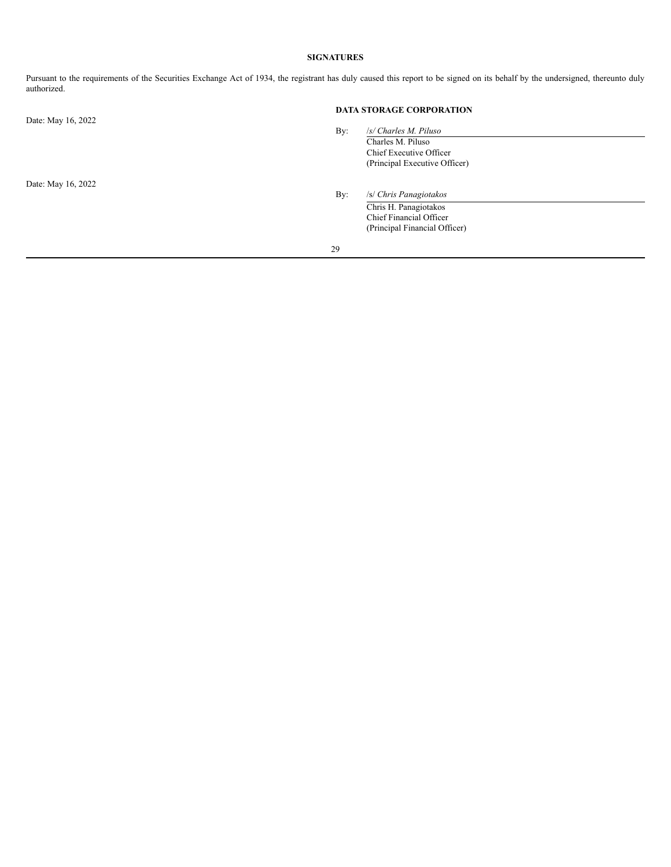# **SIGNATURES**

Pursuant to the requirements of the Securities Exchange Act of 1934, the registrant has duly caused this report to be signed on its behalf by the undersigned, thereunto duly authorized.

|                    | <b>DATA STORAGE CORPORATION</b> |                                                                                                             |  |  |
|--------------------|---------------------------------|-------------------------------------------------------------------------------------------------------------|--|--|
| Date: May 16, 2022 | By:                             | /s/ Charles M. Piluso<br>Charles M. Piluso<br>Chief Executive Officer<br>(Principal Executive Officer)      |  |  |
| Date: May 16, 2022 | By:                             | /s/ Chris Panagiotakos<br>Chris H. Panagiotakos<br>Chief Financial Officer<br>(Principal Financial Officer) |  |  |
|                    | 29                              |                                                                                                             |  |  |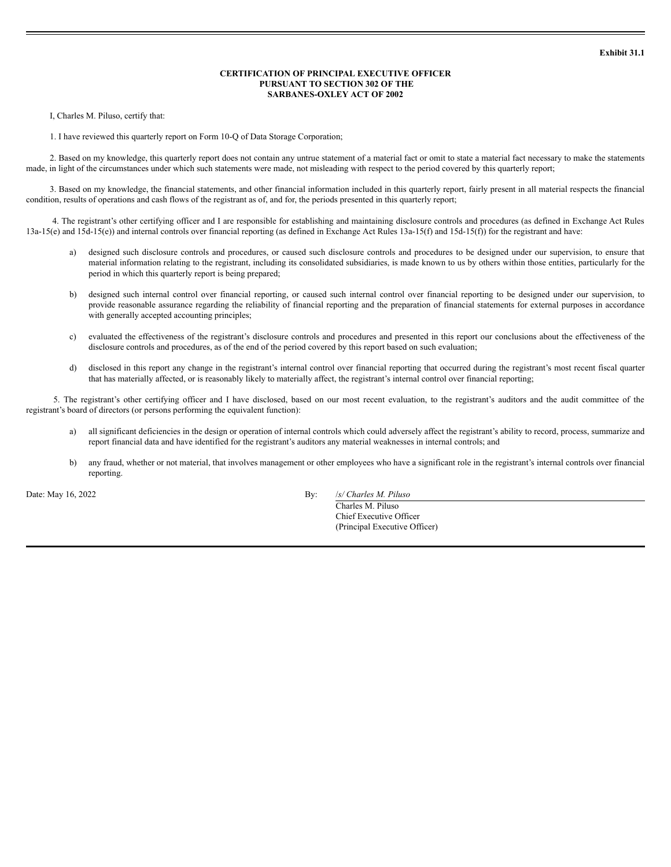#### **CERTIFICATION OF PRINCIPAL EXECUTIVE OFFICER PURSUANT TO SECTION 302 OF THE SARBANES-OXLEY ACT OF 2002**

I, Charles M. Piluso, certify that:

1. I have reviewed this quarterly report on Form 10-Q of Data Storage Corporation;

2. Based on my knowledge, this quarterly report does not contain any untrue statement of a material fact or omit to state a material fact necessary to make the statements made, in light of the circumstances under which such statements were made, not misleading with respect to the period covered by this quarterly report;

3. Based on my knowledge, the financial statements, and other financial information included in this quarterly report, fairly present in all material respects the financial condition, results of operations and cash flows of the registrant as of, and for, the periods presented in this quarterly report;

4. The registrant's other certifying officer and I are responsible for establishing and maintaining disclosure controls and procedures (as defined in Exchange Act Rules  $13a-15(e)$  and  $15d-15(e)$ ) and internal controls over financial reporting (as defined in Exchange Act Rules  $13a-15(f)$ ) and  $15d-15(f)$ ) for the registrant and have:

- a) designed such disclosure controls and procedures, or caused such disclosure controls and procedures to be designed under our supervision, to ensure that material information relating to the registrant, including its consolidated subsidiaries, is made known to us by others within those entities, particularly for the period in which this quarterly report is being prepared;
- b) designed such internal control over financial reporting, or caused such internal control over financial reporting to be designed under our supervision, to provide reasonable assurance regarding the reliability of financial reporting and the preparation of financial statements for external purposes in accordance with generally accepted accounting principles;
- c) evaluated the effectiveness of the registrant's disclosure controls and procedures and presented in this report our conclusions about the effectiveness of the disclosure controls and procedures, as of the end of the period covered by this report based on such evaluation;
- d) disclosed in this report any change in the registrant's internal control over financial reporting that occurred during the registrant's most recent fiscal quarter that has materially affected, or is reasonably likely to materially affect, the registrant's internal control over financial reporting;

5. The registrant's other certifying officer and I have disclosed, based on our most recent evaluation, to the registrant's auditors and the audit committee of the registrant's board of directors (or persons performing the equivalent function):

- a) all significant deficiencies in the design or operation of internal controls which could adversely affect the registrant's ability to record, process, summarize and report financial data and have identified for the registrant's auditors any material weaknesses in internal controls; and
- b) any fraud, whether or not material, that involves management or other employees who have a significant role in the registrant's internal controls over financial reporting.

Date: May 16, 2022 By: /*s/ Charles M. Piluso*

Charles M. Piluso Chief Executive Officer (Principal Executive Officer)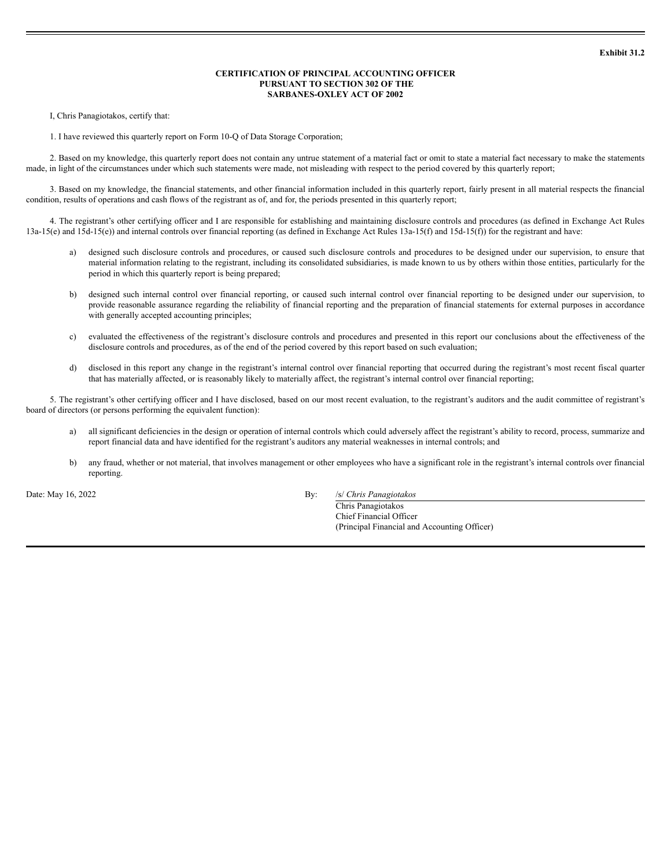# **CERTIFICATION OF PRINCIPAL ACCOUNTING OFFICER PURSUANT TO SECTION 302 OF THE SARBANES-OXLEY ACT OF 2002**

I, Chris Panagiotakos, certify that:

1. I have reviewed this quarterly report on Form 10-Q of Data Storage Corporation;

2. Based on my knowledge, this quarterly report does not contain any untrue statement of a material fact or omit to state a material fact necessary to make the statements made, in light of the circumstances under which such statements were made, not misleading with respect to the period covered by this quarterly report;

3. Based on my knowledge, the financial statements, and other financial information included in this quarterly report, fairly present in all material respects the financial condition, results of operations and cash flows of the registrant as of, and for, the periods presented in this quarterly report;

4. The registrant's other certifying officer and I are responsible for establishing and maintaining disclosure controls and procedures (as defined in Exchange Act Rules  $13a-15(e)$  and  $15d-15(e)$ ) and internal controls over financial reporting (as defined in Exchange Act Rules  $13a-15(f)$ ) and  $15d-15(f)$ ) for the registrant and have:

- a) designed such disclosure controls and procedures, or caused such disclosure controls and procedures to be designed under our supervision, to ensure that material information relating to the registrant, including its consolidated subsidiaries, is made known to us by others within those entities, particularly for the period in which this quarterly report is being prepared;
- b) designed such internal control over financial reporting, or caused such internal control over financial reporting to be designed under our supervision, to provide reasonable assurance regarding the reliability of financial reporting and the preparation of financial statements for external purposes in accordance with generally accepted accounting principles;
- c) evaluated the effectiveness of the registrant's disclosure controls and procedures and presented in this report our conclusions about the effectiveness of the disclosure controls and procedures, as of the end of the period covered by this report based on such evaluation;
- d) disclosed in this report any change in the registrant's internal control over financial reporting that occurred during the registrant's most recent fiscal quarter that has materially affected, or is reasonably likely to materially affect, the registrant's internal control over financial reporting;

5. The registrant's other certifying officer and I have disclosed, based on our most recent evaluation, to the registrant's auditors and the audit committee of registrant's board of directors (or persons performing the equivalent function):

- a) all significant deficiencies in the design or operation of internal controls which could adversely affect the registrant's ability to record, process, summarize and report financial data and have identified for the registrant's auditors any material weaknesses in internal controls; and
- b) any fraud, whether or not material, that involves management or other employees who have a significant role in the registrant's internal controls over financial reporting.

Date: May 16, 2022 By: /s/ *Chris Panagiotakos*

Chris Panagiotakos Chief Financial Officer (Principal Financial and Accounting Officer)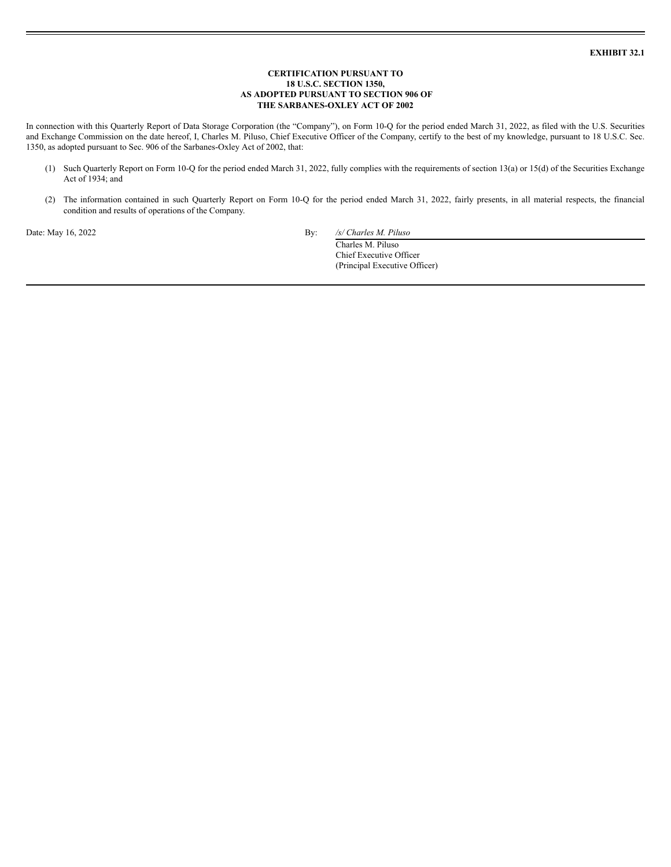#### **CERTIFICATION PURSUANT TO 18 U.S.C. SECTION 1350, AS ADOPTED PURSUANT TO SECTION 906 OF THE SARBANES-OXLEY ACT OF 2002**

In connection with this Quarterly Report of Data Storage Corporation (the "Company"), on Form 10-Q for the period ended March 31, 2022, as filed with the U.S. Securities and Exchange Commission on the date hereof, I, Charles M. Piluso, Chief Executive Officer of the Company, certify to the best of my knowledge, pursuant to 18 U.S.C. Sec. 1350, as adopted pursuant to Sec. 906 of the Sarbanes-Oxley Act of 2002, that:

- (1) Such Quarterly Report on Form 10-Q for the period ended March 31, 2022, fully complies with the requirements of section 13(a) or 15(d) of the Securities Exchange Act of 1934; and
- (2) The information contained in such Quarterly Report on Form 10-Q for the period ended March 31, 2022, fairly presents, in all material respects, the financial condition and results of operations of the Company.

Date: May 16, 2022 By: */s/ Charles M. Piluso*

Charles M. Piluso Chief Executive Officer (Principal Executive Officer)